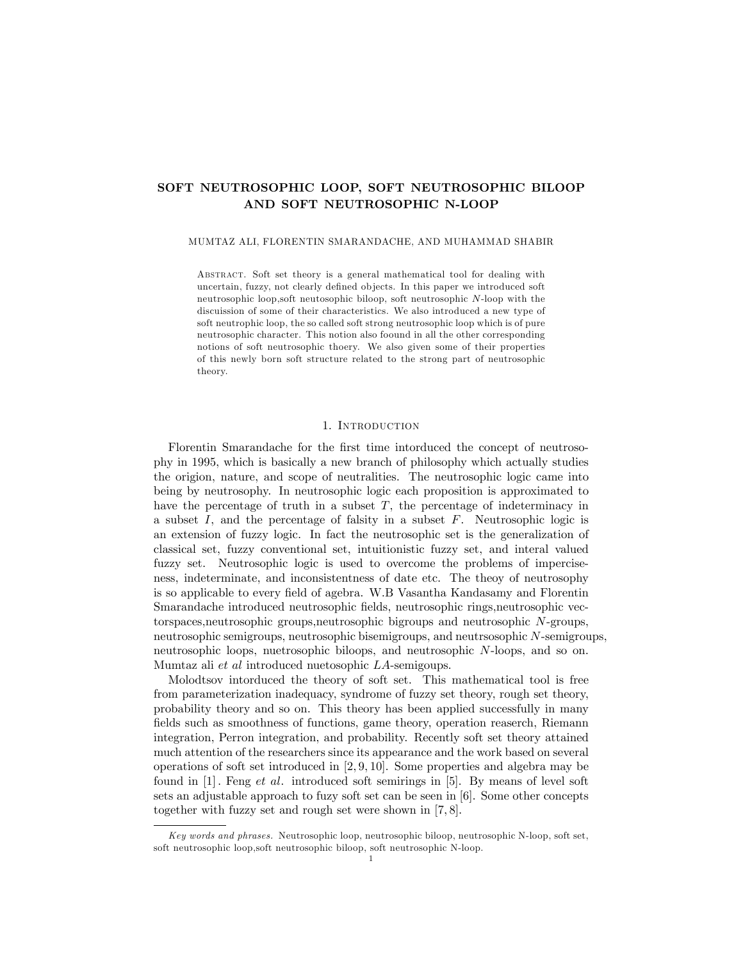# SOFT NEUTROSOPHIC LOOP, SOFT NEUTROSOPHIC BILOOP AND SOFT NEUTROSOPHIC N-LOOP

#### MUMTAZ ALI, FLORENTIN SMARANDACHE, AND MUHAMMAD SHABIR

Abstract. Soft set theory is a general mathematical tool for dealing with uncertain, fuzzy, not clearly defined objects. In this paper we introduced soft neutrosophic loop,soft neutosophic biloop, soft neutrosophic N-loop with the discuission of some of their characteristics. We also introduced a new type of soft neutrophic loop, the so called soft strong neutrosophic loop which is of pure neutrosophic character. This notion also foound in all the other corresponding notions of soft neutrosophic thoery. We also given some of their properties of this newly born soft structure related to the strong part of neutrosophic theory.

### 1. Introduction

Florentin Smarandache for the first time intorduced the concept of neutrosophy in 1995; which is basically a new branch of philosophy which actually studies the origion, nature, and scope of neutralities. The neutrosophic logic came into being by neutrosophy. In neutrosophic logic each proposition is approximated to have the percentage of truth in a subset  $T$ , the percentage of indeterminacy in a subset  $I$ , and the percentage of falsity in a subset  $F$ . Neutrosophic logic is an extension of fuzzy logic. In fact the neutrosophic set is the generalization of classical set, fuzzy conventional set, intuitionistic fuzzy set, and interal valued fuzzy set. Neutrosophic logic is used to overcome the problems of imperciseness, indeterminate, and inconsistentness of date etc. The theoy of neutrosophy is so applicable to every field of agebra. W.B Vasantha Kandasamy and Florentin Smarandache introduced neutrosophic Öelds, neutrosophic rings,neutrosophic vectorspaces,neutrosophic groups,neutrosophic bigroups and neutrosophic N-groups, neutrosophic semigroups, neutrosophic bisemigroups, and neutrsosophic N-semigroups, neutrosophic loops, nuetrosophic biloops, and neutrosophic N-loops, and so on. Mumtaz ali et al introduced nuetosophic LA-semigoups.

Molodtsov intorduced the theory of soft set. This mathematical tool is free from parameterization inadequacy, syndrome of fuzzy set theory, rough set theory, probability theory and so on. This theory has been applied successfully in many fields such as smoothness of functions, game theory, operation reaserch, Riemann integration, Perron integration, and probability. Recently soft set theory attained much attention of the researchers since its appearance and the work based on several operations of soft set introduced in [2; 9; 10]. Some properties and algebra may be found in [1] : Feng et al. introduced soft semirings in [5]. By means of level soft sets an adjustable approach to fuzy soft set can be seen in [6]. Some other concepts together with fuzzy set and rough set were shown in [7; 8].

Key words and phrases. Neutrosophic loop, neutrosophic biloop, neutrosophic N-loop, soft set, soft neutrosophic loop,soft neutrosophic biloop, soft neutrosophic N-loop.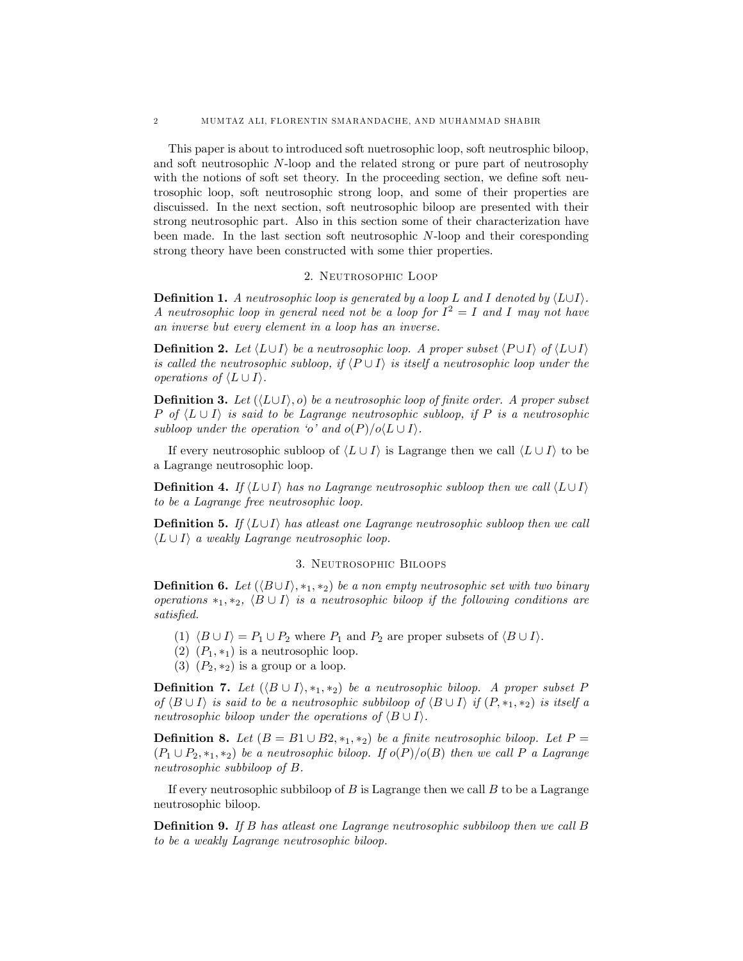This paper is about to introduced soft nuetrosophic loop, soft neutrosphic biloop, and soft neutrosophic N-loop and the related strong or pure part of neutrosophy with the notions of soft set theory. In the proceeding section, we define soft neutrosophic loop, soft neutrosophic strong loop, and some of their properties are discuissed. In the next section, soft neutrosophic biloop are presented with their strong neutrosophic part. Also in this section some of their characterization have been made. In the last section soft neutrosophic N-loop and their coresponding strong theory have been constructed with some thier properties.

#### 2. Neutrosophic Loop

**Definition 1.** A neutrosophic loop is generated by a loop L and I denoted by  $\langle L \cup I \rangle$ . A neutrosophic loop in general need not be a loop for  $I^2 = I$  and I may not have an inverse but every element in a loop has an inverse.

**Definition 2.** Let  $\langle L \cup I \rangle$  be a neutrosophic loop. A proper subset  $\langle P \cup I \rangle$  of  $\langle L \cup I \rangle$ is called the neutrosophic subloop, if  $\langle P \cup I \rangle$  is itself a neutrosophic loop under the operations of  $\langle L \cup I \rangle$ .

**Definition 3.** Let  $(\langle L \cup I \rangle, o)$  be a neutrosophic loop of finite order. A proper subset P of  $\langle L \cup I \rangle$  is said to be Lagrange neutrosophic subloop, if P is a neutrosophic subloop under the operation  $\langle o \rangle$  and  $o(P)/o\langle L \cup I \rangle$ .

If every neutrosophic subloop of  $\langle L \cup I \rangle$  is Lagrange then we call  $\langle L \cup I \rangle$  to be a Lagrange neutrosophic loop.

**Definition 4.** If  $\langle L \cup I \rangle$  has no Lagrange neutrosophic subloop then we call  $\langle L \cup I \rangle$ to be a Lagrange free neutrosophic loop.

**Definition 5.** If  $\langle L \cup I \rangle$  has at least one Lagrange neutrosophic subloop then we call  $\langle L \cup I \rangle$  a weakly Lagrange neutrosophic loop.

## 3. Neutrosophic Biloops

**Definition 6.** Let  $(\langle B \cup I \rangle, *_1, *_2)$  be a non empty neutrosophic set with two binary operations  $*_1, *_2, \langle B \cup I \rangle$  is a neutrosophic biloop if the following conditions are satisfied.

- (1)  $\langle B \cup I \rangle = P_1 \cup P_2$  where  $P_1$  and  $P_2$  are proper subsets of  $\langle B \cup I \rangle$ .
- (2)  $(P_1, *_1)$  is a neutrosophic loop.
- (3)  $(P_2, *_2)$  is a group or a loop.

**Definition 7.** Let  $(\langle B \cup I \rangle, *_1, *_2)$  be a neutrosophic biloop. A proper subset P of  $\langle B \cup I \rangle$  is said to be a neutrosophic subbiloop of  $\langle B \cup I \rangle$  if  $(P, *_1, *_2)$  is itself a neutrosophic biloop under the operations of  $\langle B \cup I \rangle$ .

**Definition 8.** Let  $(B = B1 \cup B2, *, *,*)$  be a finite neutrosophic biloop. Let  $P =$  $(P_1 \cup P_2, *_1, *_2)$  be a neutrosophic biloop. If  $o(P)/o(B)$  then we call P a Lagrange neutrosophic subbiloop of B.

If every neutrosophic subbiloop of  $B$  is Lagrange then we call  $B$  to be a Lagrange neutrosophic biloop.

**Definition 9.** If B has atleast one Lagrange neutrosophic subbiloop then we call B to be a weakly Lagrange neutrosophic biloop.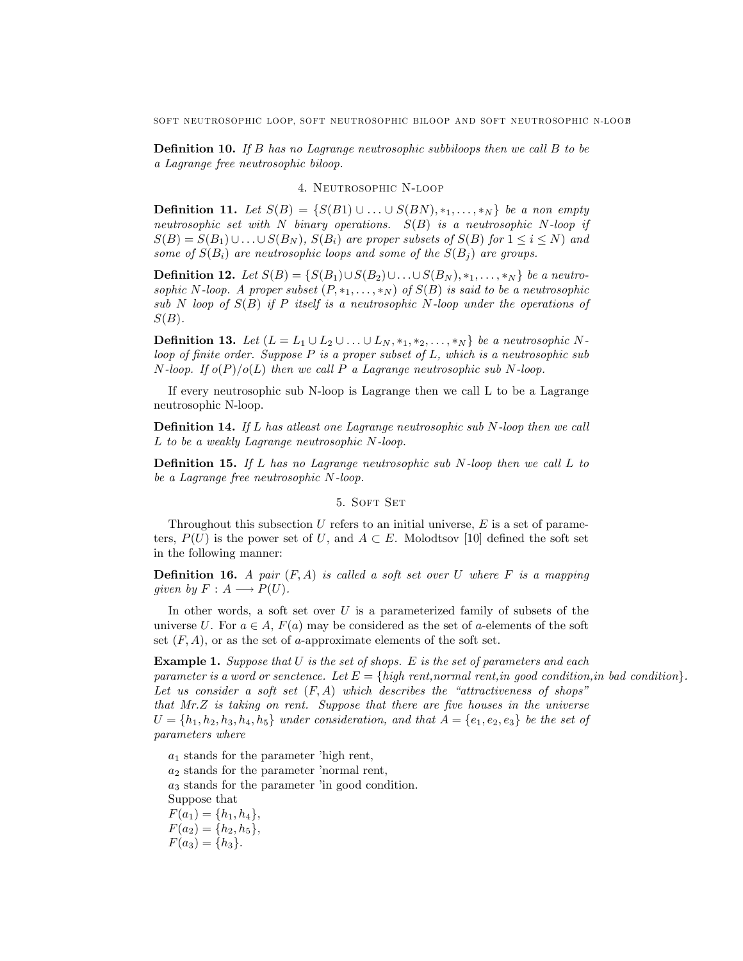**Definition 10.** If B has no Lagrange neutrosophic subbiloops then we call B to be a Lagrange free neutrosophic biloop.

#### 4. Neutrosophic N-loop

**Definition 11.** Let  $S(B) = \{S(B1) \cup ... \cup S(BN), *_1, ..., *_N\}$  be a non empty neutrosophic set with N binary operations.  $S(B)$  is a neutrosophic N-loop if  $S(B) = S(B_1) \cup \ldots \cup S(B_N)$ ,  $S(B_i)$  are proper subsets of  $S(B)$  for  $1 \le i \le N$ ) and some of  $S(B_i)$  are neutrosophic loops and some of the  $S(B_j)$  are groups.

**Definition 12.** Let  $S(B) = \{S(B_1) \cup S(B_2) \cup ... \cup S(B_N), *_1, ..., *_N\}$  be a neutrosophic N-loop. A proper subset  $(P, *_1, \ldots, *_N)$  of  $S(B)$  is said to be a neutrosophic sub N loop of  $S(B)$  if P itself is a neutrosophic N-loop under the operations of  $S(B)$ .

**Definition 13.** Let  $(L = L_1 \cup L_2 \cup ... \cup L_N, *_{1}, *_{2},..., *_{N})$  be a neutrosophic Nloop of finite order. Suppose  $P$  is a proper subset of  $L$ , which is a neutrosophic sub N-loop. If  $o(P)/o(L)$  then we call P a Lagrange neutrosophic sub N-loop.

If every neutrosophic sub N-loop is Lagrange then we call L to be a Lagrange neutrosophic N-loop.

**Definition 14.** If L has atleast one Lagrange neutrosophic sub N-loop then we call L to be a weakly Lagrange neutrosophic N-loop.

**Definition 15.** If L has no Lagrange neutrosophic sub N-loop then we call L to be a Lagrange free neutrosophic N-loop.

#### 5. SOFT SET

Throughout this subsection U refers to an initial universe,  $E$  is a set of parameters,  $P(U)$  is the power set of U, and  $A \subset E$ . Molodtsov [10] defined the soft set in the following manner:

**Definition 16.** A pair  $(F, A)$  is called a soft set over U where F is a mapping given by  $F : A \longrightarrow P(U)$ .

In other words, a soft set over  $U$  is a parameterized family of subsets of the universe U. For  $a \in A$ ,  $F(a)$  may be considered as the set of a-elements of the soft set  $(F, A)$ , or as the set of a-approximate elements of the soft set.

**Example 1.** Suppose that  $U$  is the set of shops. E is the set of parameters and each parameter is a word or senctence. Let  $E = \{high\; rent,normal\;rent, in\; good\; condition, in\; bad\; condition\}.$ Let us consider a soft set  $(F, A)$  which describes the "attractiveness of shops" that  $Mr.Z$  is taking on rent. Suppose that there are five houses in the universe  $U = \{h_1, h_2, h_3, h_4, h_5\}$  under consideration, and that  $A = \{e_1, e_2, e_3\}$  be the set of parameters where

 $a_1$  stands for the parameter 'high rent,  $a_2$  stands for the parameter 'normal rent,  $a_3$  stands for the parameter 'in good condition. Suppose that  $F(a_1) = \{h_1, h_4\},\,$  $F(a_2) = \{h_2, h_5\},\,$  $F(a_3) = \{h_3\}.$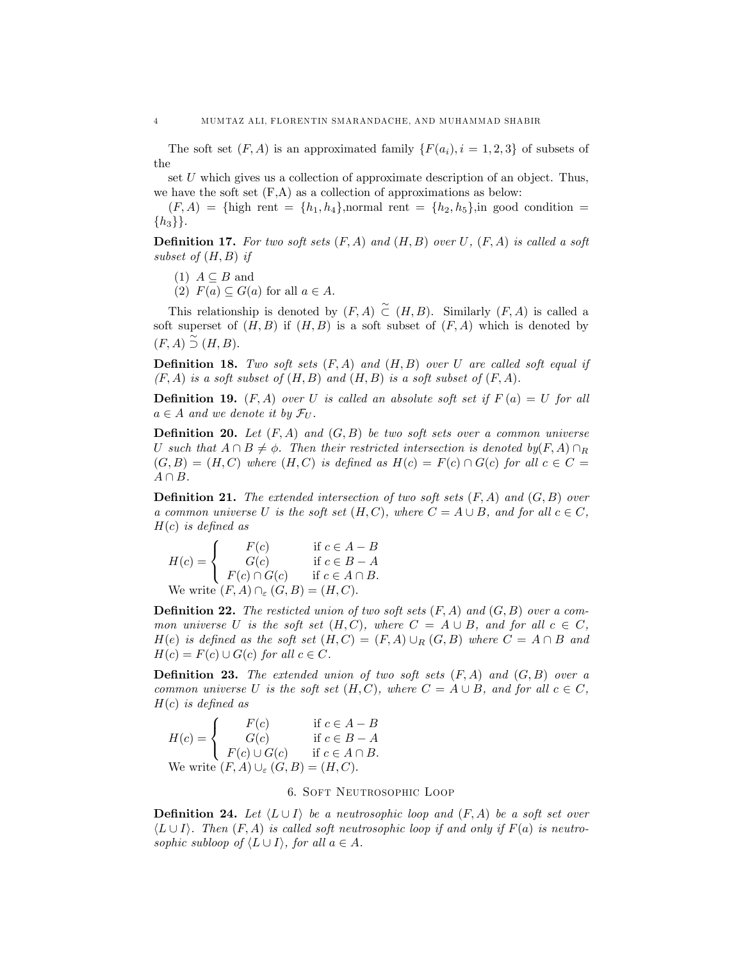The soft set  $(F, A)$  is an approximated family  $\{F(a_i), i = 1, 2, 3\}$  of subsets of the

set U which gives us a collection of approximate description of an object. Thus, we have the soft set  $(F,A)$  as a collection of approximations as below:

 $(F, A) = \{ \text{high rent} = \{h_1, h_4\}, \text{normal rent} = \{h_2, h_5\}, \text{in good condition}$  $\{h_3\}\}.$ 

**Definition 17.** For two soft sets  $(F, A)$  and  $(H, B)$  over U,  $(F, A)$  is called a soft subset of  $(H, B)$  if

(1) 
$$
A \subseteq B
$$
 and

(2)  $F(a) \subseteq G(a)$  for all  $a \in A$ .

This relationship is denoted by  $(F, A) \subset (H, B)$ . Similarly  $(F, A)$  is called a soft superset of  $(H, B)$  if  $(H, B)$  is a soft subset of  $(F, A)$  which is denoted by  $(F, A) \stackrel{\sim}{\supset} (H, B).$ 

**Definition 18.** Two soft sets  $(F, A)$  and  $(H, B)$  over U are called soft equal if  $(F, A)$  is a soft subset of  $(H, B)$  and  $(H, B)$  is a soft subset of  $(F, A)$ .

**Definition 19.**  $(F, A)$  over U is called an absolute soft set if  $F(a) = U$  for all  $a \in A$  and we denote it by  $\mathcal{F}_U$ .

**Definition 20.** Let  $(F, A)$  and  $(G, B)$  be two soft sets over a common universe U such that  $A \cap B \neq \emptyset$ . Then their restricted intersection is denoted by(F, A)  $\cap_R$  $(G, B) = (H, C)$  where  $(H, C)$  is defined as  $H(c) = F(c) \cap G(c)$  for all  $c \in C =$  $A \cap B$ .

**Definition 21.** The extended intersection of two soft sets  $(F, A)$  and  $(G, B)$  over a common universe U is the soft set  $(H, C)$ , where  $C = A \cup B$ , and for all  $c \in C$ ,  $H(c)$  is defined as

$$
H(c) = \begin{cases} F(c) & \text{if } c \in A - B \\ G(c) & \text{if } c \in B - A \\ F(c) \cap G(c) & \text{if } c \in A \cap B. \end{cases}
$$
  
We write  $(F, A) \cap_{\varepsilon} (G, B) = (H, C)$ .

**Definition 22.** The resticted union of two soft sets  $(F, A)$  and  $(G, B)$  over a common universe U is the soft set  $(H, C)$ , where  $C = A \cup B$ , and for all  $c \in C$ .  $H(e)$  is defined as the soft set  $(H, C) = (F, A) \cup_R (G, B)$  where  $C = A \cap B$  and  $H(c) = F(c) \cup G(c)$  for all  $c \in C$ .

**Definition 23.** The extended union of two soft sets  $(F, A)$  and  $(G, B)$  over a common universe U is the soft set  $(H, C)$ , where  $C = A \cup B$ , and for all  $c \in C$ .  $H(c)$  is defined as

$$
H(c) = \begin{cases} F(c) & \text{if } c \in A - B \\ G(c) & \text{if } c \in B - A \\ F(c) \cup G(c) & \text{if } c \in A \cap B. \end{cases}
$$
  
We write  $(F, A) \cup_{\varepsilon} (G, B) = (H, C)$ .

## 6. Soft Neutrosophic Loop

**Definition 24.** Let  $\langle L \cup I \rangle$  be a neutrosophic loop and  $(F, A)$  be a soft set over  $\langle L \cup I \rangle$ . Then  $(F, A)$  is called soft neutrosophic loop if and only if  $F(a)$  is neutrosophic subloop of  $\langle L \cup I \rangle$ , for all  $a \in A$ .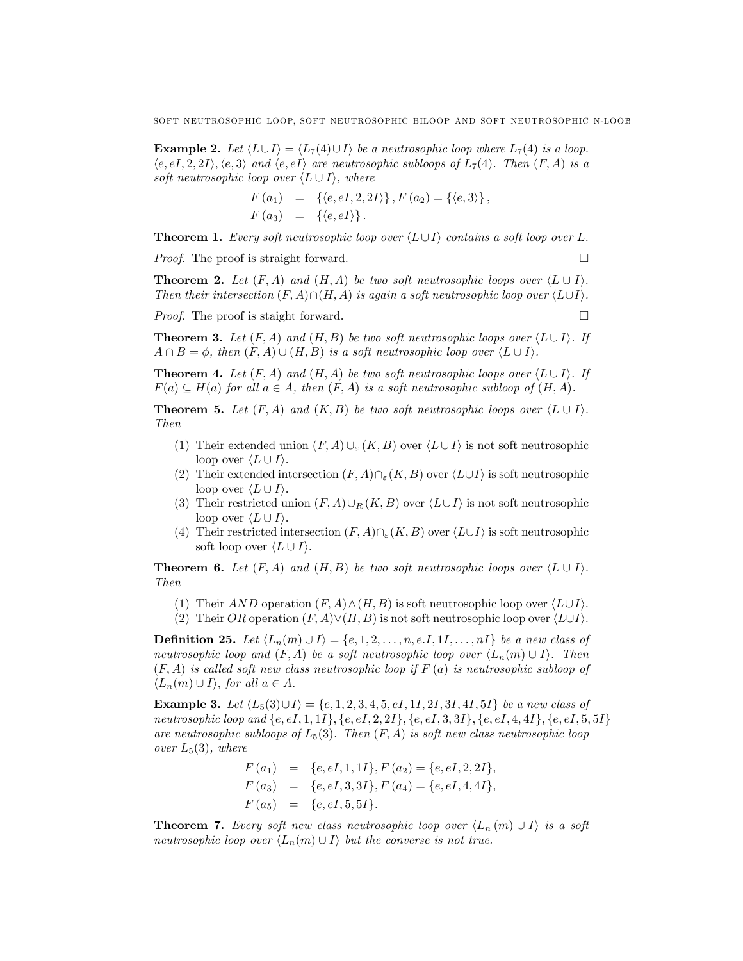**Example 2.** Let  $\langle L \cup I \rangle = \langle L_7(4) \cup I \rangle$  be a neutrosophic loop where  $L_7(4)$  is a loop.  $\langle e, eI, 2, 2I \rangle, \langle e, 3 \rangle$  and  $\langle e, eI \rangle$  are neutrosophic subloops of  $L_7(4)$ . Then  $(F, A)$  is a soft neutrosophic loop over  $\langle L \cup I \rangle$ , where

$$
F(a_1) = \{ \langle e, eI, 2, 2I \rangle \}, F(a_2) = \{ \langle e, 3 \rangle \},
$$
  

$$
F(a_3) = \{ \langle e, eI \rangle \}.
$$

**Theorem 1.** Every soft neutrosophic loop over  $\langle L \cup I \rangle$  contains a soft loop over L.

*Proof.* The proof is straight forward.  $\square$ 

**Theorem 2.** Let  $(F, A)$  and  $(H, A)$  be two soft neutrosophic loops over  $\langle L \cup I \rangle$ . Then their intersection  $(F, A) \cap (H, A)$  is again a soft neutrosophic loop over  $\langle L \cup I \rangle$ .

Proof. The proof is staight forward.

$$
\exists \quad
$$

**Theorem 3.** Let  $(F, A)$  and  $(H, B)$  be two soft neutrosophic loops over  $\langle L \cup I \rangle$ . If  $A \cap B = \phi$ , then  $(F, A) \cup (H, B)$  is a soft neutrosophic loop over  $\langle L \cup I \rangle$ .

**Theorem 4.** Let  $(F, A)$  and  $(H, A)$  be two soft neutrosophic loops over  $\langle L \cup I \rangle$ . If  $F(a) \subseteq H(a)$  for all  $a \in A$ , then  $(F, A)$  is a soft neutrosophic subloop of  $(H, A)$ .

**Theorem 5.** Let  $(F, A)$  and  $(K, B)$  be two soft neutrosophic loops over  $\langle L \cup I \rangle$ . Then

- (1) Their extended union  $(F, A) \cup_{\varepsilon} (K, B)$  over  $\langle L \cup I \rangle$  is not soft neutrosophic loop over  $\langle L \cup I \rangle$ .
- (2) Their extended intersection  $(F, A)\cap_{\varepsilon}(K, B)$  over  $\langle L\cup I\rangle$  is soft neutrosophic loop over  $\langle L \cup I \rangle$ .
- (3) Their restricted union  $(F, A) \cup_R (K, B)$  over  $\langle L \cup I \rangle$  is not soft neutrosophic loop over  $\langle L \cup I \rangle$ .
- (4) Their restricted intersection  $(F, A)\cap_{\varepsilon}(K, B)$  over  $\langle L\cup I\rangle$  is soft neutrosophic soft loop over  $\langle L \cup I \rangle$ .

**Theorem 6.** Let  $(F, A)$  and  $(H, B)$  be two soft neutrosophic loops over  $\langle L \cup I \rangle$ . Then

- (1) Their AND operation  $(F, A) \wedge (H, B)$  is soft neutrosophic loop over  $\langle L \cup I \rangle$ .
- (2) Their OR operation  $(F, A) \lor (H, B)$  is not soft neutrosophic loop over  $\langle L \cup I \rangle$ .

**Definition 25.** Let  $\langle L_n(m) \cup I \rangle = \{e, 1, 2, \ldots, n, e.I, 1I, \ldots, nI\}$  be a new class of neutrosophic loop and  $(F, A)$  be a soft neutrosophic loop over  $\langle L_n(m) \cup I \rangle$ . Then  $(F, A)$  is called soft new class neutrosophic loop if  $F(a)$  is neutrosophic subloop of  $\langle L_n(m) \cup I \rangle$ , for all  $a \in A$ .

**Example 3.** Let  $\langle L_5(3) \cup I \rangle = \{e, 1, 2, 3, 4, 5, eI, 1I, 2I, 3I, 4I, 5I\}$  be a new class of neutrosophic loop and  $\{e, eI, 1, 1I\}, \{e, eI, 2, 2I\}, \{e, eI, 3, 3I\}, \{e, eI, 4, 4I\}, \{e, eI, 5, 5I\}$ are neutrosophic subloops of  $L_5(3)$ . Then  $(F, A)$  is soft new class neutrosophic loop over  $L_5(3)$ , where

$$
F(a_1) = \{e, eI, 1, 1I\}, F(a_2) = \{e, eI, 2, 2I\},
$$
  
\n
$$
F(a_3) = \{e, eI, 3, 3I\}, F(a_4) = \{e, eI, 4, 4I\},
$$
  
\n
$$
F(a_5) = \{e, eI, 5, 5I\}.
$$

**Theorem 7.** Every soft new class neutrosophic loop over  $\langle L_n(m) \cup I \rangle$  is a soft neutrosophic loop over  $\langle L_n(m) \cup I \rangle$  but the converse is not true.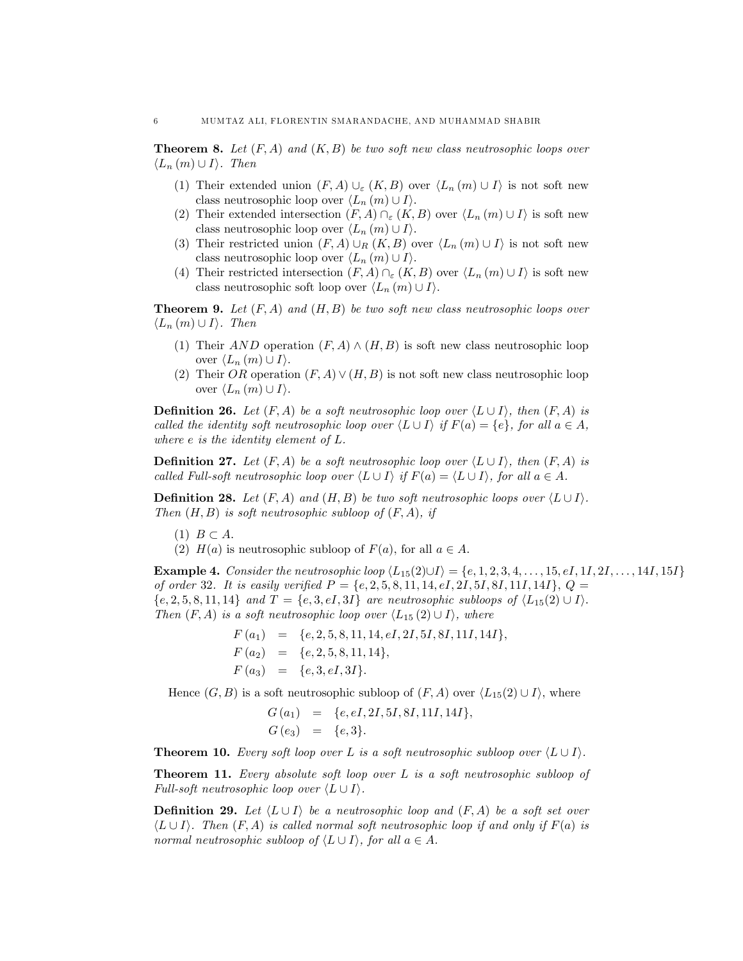**Theorem 8.** Let  $(F, A)$  and  $(K, B)$  be two soft new class neutrosophic loops over  $\langle L_n(m) \cup I \rangle$ . Then

- (1) Their extended union  $(F, A) \cup_{\varepsilon} (K, B)$  over  $\langle L_n (m) \cup I \rangle$  is not soft new class neutrosophic loop over  $\langle L_n (m) \cup I \rangle$ .
- (2) Their extended intersection  $(F, A) \cap_{\varepsilon} (K, B)$  over  $\langle L_n (m) \cup I \rangle$  is soft new class neutrosophic loop over  $\langle L_n (m) \cup I \rangle$ .
- (3) Their restricted union  $(F, A) \cup_R (K, B)$  over  $\langle L_n (m) \cup I \rangle$  is not soft new class neutrosophic loop over  $\langle L_n (m) \cup I \rangle$ .
- (4) Their restricted intersection  $(F, A) \cap_{\varepsilon} (K, B)$  over  $\langle L_n (m) \cup I \rangle$  is soft new class neutrosophic soft loop over  $\langle L_n (m) \cup I \rangle$ .

**Theorem 9.** Let  $(F, A)$  and  $(H, B)$  be two soft new class neutrosophic loops over  $\langle L_n(m) \cup I \rangle$ . Then

- (1) Their AND operation  $(F, A) \wedge (H, B)$  is soft new class neutrosophic loop over  $\langle L_n (m) \cup I \rangle$ .
- (2) Their OR operation  $(F, A) \vee (H, B)$  is not soft new class neutrosophic loop over  $\langle L_n (m) \cup I \rangle$ .

**Definition 26.** Let  $(F, A)$  be a soft neutrosophic loop over  $\langle L \cup I \rangle$ , then  $(F, A)$  is called the identity soft neutrosophic loop over  $\langle L \cup I \rangle$  if  $F(a) = \{e\}$ , for all  $a \in A$ , where e is the identity element of L.

**Definition 27.** Let  $(F, A)$  be a soft neutrosophic loop over  $\langle L \cup I \rangle$ , then  $(F, A)$  is called Full-soft neutrosophic loop over  $\langle L \cup I \rangle$  if  $F(a) = \langle L \cup I \rangle$ , for all  $a \in A$ .

**Definition 28.** Let  $(F, A)$  and  $(H, B)$  be two soft neutrosophic loops over  $\langle L \cup I \rangle$ . Then  $(H, B)$  is soft neutrosophic subloop of  $(F, A)$ , if

- $(1)$   $B \subset A$ .
- (2)  $H(a)$  is neutrosophic subloop of  $F(a)$ , for all  $a \in A$ .

**Example 4.** Consider the neutrosophic loop  $\langle L_{15}(2) \cup I \rangle = \{e, 1, 2, 3, 4, \ldots, 15, eI, 1I, 2I, \ldots, 14I, 15I\}$ of order 32. It is easily verified  $P = \{e, 2, 5, 8, 11, 14, eI, 2I, 5I, 8I, 11I, 14I\}, Q =$  ${e, 2, 5, 8, 11, 14}$  and  $T = {e, 3, eI, 3I}$  are neutrosophic subloops of  $\langle L_{15}(2) \cup I \rangle$ . Then  $(F, A)$  is a soft neutrosophic loop over  $\langle L_{15} (2) \cup I \rangle$ , where

$$
F(a_1) = \{e, 2, 5, 8, 11, 14, eI, 2I, 5I, 8I, 11I, 14I\},\
$$
  
\n
$$
F(a_2) = \{e, 2, 5, 8, 11, 14\},\
$$
  
\n
$$
F(a_3) = \{e, 3, eI, 3I\}.
$$

Hence  $(G, B)$  is a soft neutrosophic subloop of  $(F, A)$  over  $\langle L_{15}(2) \cup I \rangle$ , where

$$
G(a_1) = \{e, eI, 2I, 5I, 8I, 11I, 14I\},\
$$
  

$$
G(e_3) = \{e, 3\}.
$$

**Theorem 10.** Every soft loop over L is a soft neutrosophic subloop over  $\langle L \cup I \rangle$ .

Theorem 11. Every absolute soft loop over L is a soft neutrosophic subloop of Full-soft neutrosophic loop over  $\langle L \cup I \rangle$ .

**Definition 29.** Let  $\langle L \cup I \rangle$  be a neutrosophic loop and  $(F, A)$  be a soft set over  $\langle L \cup I \rangle$ . Then  $(F, A)$  is called normal soft neutrosophic loop if and only if  $F(a)$  is normal neutrosophic subloop of  $\langle L \cup I \rangle$ , for all  $a \in A$ .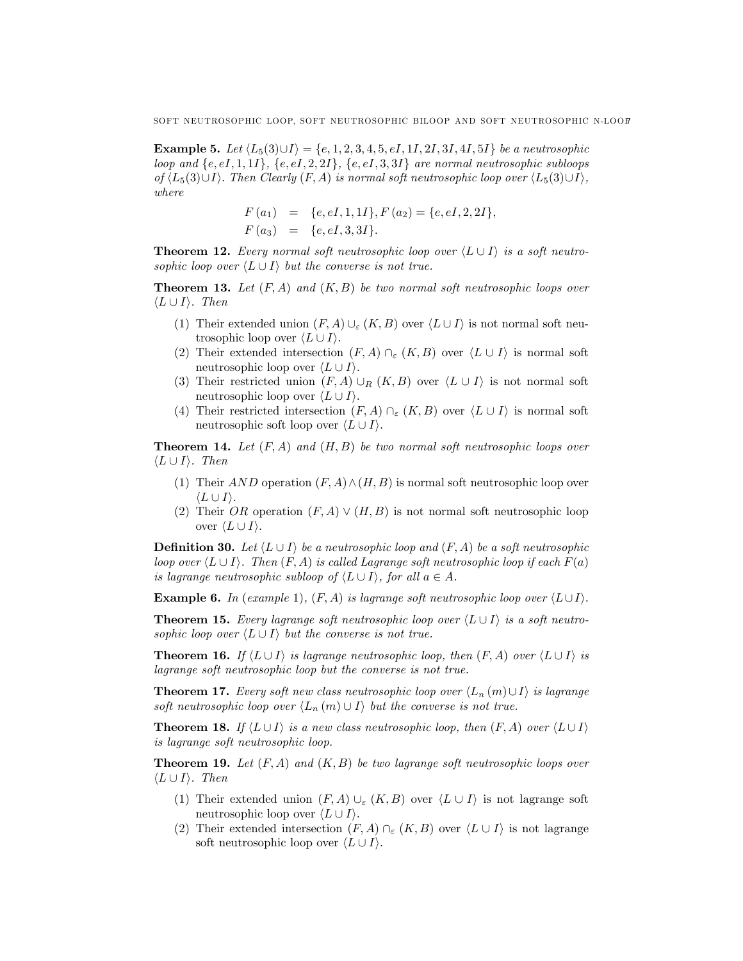**Example 5.** Let  $\langle L_5(3) \cup I \rangle = \{e, 1, 2, 3, 4, 5, eI, 1I, 2I, 3I, 4I, 5I\}$  be a neutrosophic loop and  $\{e, eI, 1, 1I\}$ ,  $\{e, eI, 2, 2I\}$ ,  $\{e, eI, 3, 3I\}$  are normal neutrosophic subloops of  $\langle L_5(3)\cup I \rangle$ . Then Clearly  $(F, A)$  is normal soft neutrosophic loop over  $\langle L_5(3)\cup I \rangle$ , where

$$
F(a_1) = \{e, eI, 1, 1I\}, F(a_2) = \{e, eI, 2, 2I\},
$$
  

$$
F(a_3) = \{e, eI, 3, 3I\}.
$$

**Theorem 12.** Every normal soft neutrosophic loop over  $\langle L \cup I \rangle$  is a soft neutrosophic loop over  $\langle L \cup I \rangle$  but the converse is not true.

**Theorem 13.** Let  $(F, A)$  and  $(K, B)$  be two normal soft neutrosophic loops over  $\langle L \cup I \rangle$ . Then

- (1) Their extended union  $(F, A) \cup_{\varepsilon} (K, B)$  over  $\langle L \cup I \rangle$  is not normal soft neutrosophic loop over  $\langle L \cup I \rangle$ .
- (2) Their extended intersection  $(F, A) \cap_{\varepsilon} (K, B)$  over  $\langle L \cup I \rangle$  is normal soft neutrosophic loop over  $\langle L \cup I \rangle$ .
- (3) Their restricted union  $(F, A) \cup_R (K, B)$  over  $\langle L \cup I \rangle$  is not normal soft neutrosophic loop over  $\langle L \cup I \rangle$ .
- (4) Their restricted intersection  $(F, A) \cap_{\varepsilon} (K, B)$  over  $\langle L \cup I \rangle$  is normal soft neutrosophic soft loop over  $\langle L \cup I \rangle$ .

**Theorem 14.** Let  $(F, A)$  and  $(H, B)$  be two normal soft neutrosophic loops over  $\langle L \cup I \rangle$ . Then

- (1) Their AND operation  $(F, A) \wedge (H, B)$  is normal soft neutrosophic loop over  $\langle L \cup I \rangle$ .
- (2) Their OR operation  $(F, A) \vee (H, B)$  is not normal soft neutrosophic loop over  $\langle L \cup I \rangle$ .

**Definition 30.** Let  $\langle L \cup I \rangle$  be a neutrosophic loop and  $(F, A)$  be a soft neutrosophic loop over  $\langle L \cup I \rangle$ . Then  $(F, A)$  is called Lagrange soft neutrosophic loop if each  $F(a)$ is lagrange neutrosophic subloop of  $\langle L \cup I \rangle$ , for all  $a \in A$ .

**Example 6.** In (example 1),  $(F, A)$  is lagrange soft neutrosophic loop over  $\langle L \cup I \rangle$ .

**Theorem 15.** Every lagrange soft neutrosophic loop over  $\langle L \cup I \rangle$  is a soft neutrosophic loop over  $\langle L \cup I \rangle$  but the converse is not true.

**Theorem 16.** If  $\langle L \cup I \rangle$  is lagrange neutrosophic loop, then  $(F, A)$  over  $\langle L \cup I \rangle$  is lagrange soft neutrosophic loop but the converse is not true.

**Theorem 17.** Every soft new class neutrosophic loop over  $\langle L_n (m) \cup I \rangle$  is lagrange soft neutrosophic loop over  $\langle L_n (m) \cup I \rangle$  but the converse is not true.

**Theorem 18.** If  $\langle L \cup I \rangle$  is a new class neutrosophic loop, then  $(F, A)$  over  $\langle L \cup I \rangle$ is lagrange soft neutrosophic loop.

**Theorem 19.** Let  $(F, A)$  and  $(K, B)$  be two lagrange soft neutrosophic loops over  $\langle L \cup I \rangle$ . Then

- (1) Their extended union  $(F, A) \cup_{\varepsilon} (K, B)$  over  $\langle L \cup I \rangle$  is not lagrange soft neutrosophic loop over  $\langle L \cup I \rangle$ .
- (2) Their extended intersection  $(F, A) \cap_{\varepsilon} (K, B)$  over  $\langle L \cup I \rangle$  is not lagrange soft neutrosophic loop over  $\langle L \cup I \rangle$ .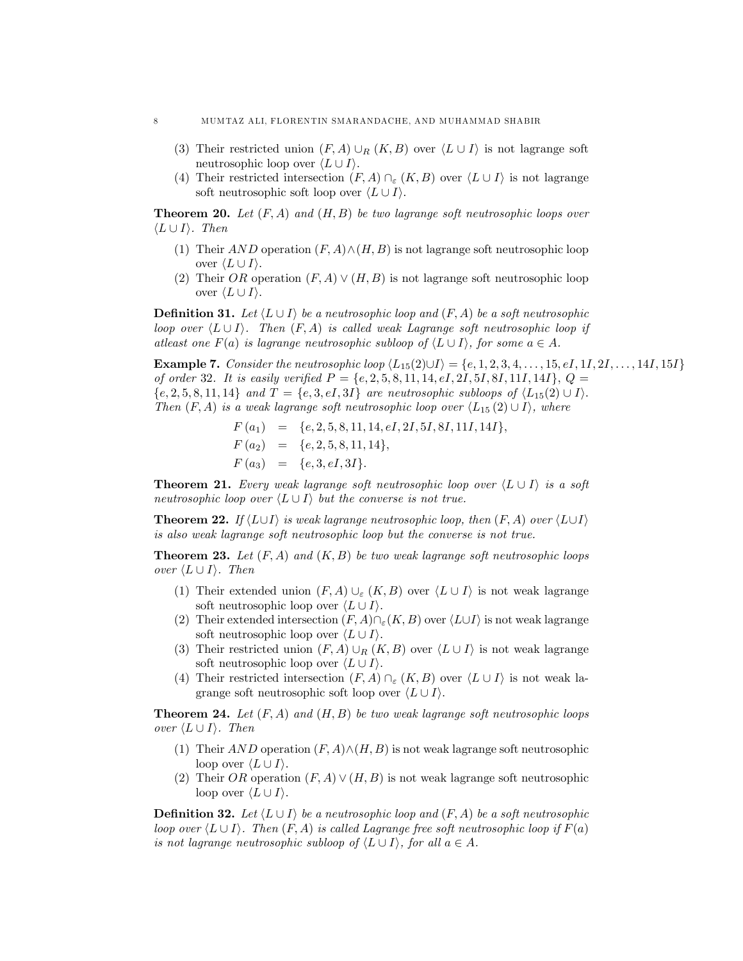- (3) Their restricted union  $(F, A) \cup_R (K, B)$  over  $\langle L \cup I \rangle$  is not lagrange soft neutrosophic loop over  $\langle L \cup I \rangle$ .
- (4) Their restricted intersection  $(F, A) \cap_{\varepsilon} (K, B)$  over  $\langle L \cup I \rangle$  is not lagrange soft neutrosophic soft loop over  $\langle L \cup I \rangle$ .

**Theorem 20.** Let  $(F, A)$  and  $(H, B)$  be two lagrange soft neutrosophic loops over  $\langle L \cup I \rangle$ . Then

- (1) Their AND operation  $(F, A) \wedge (H, B)$  is not lagrange soft neutrosophic loop over  $\langle L \cup I \rangle$ .
- (2) Their OR operation  $(F, A) \vee (H, B)$  is not lagrange soft neutrosophic loop over  $\langle L \cup I \rangle$ .

**Definition 31.** Let  $\langle L \cup I \rangle$  be a neutrosophic loop and  $(F, A)$  be a soft neutrosophic loop over  $\langle L \cup I \rangle$ . Then  $(F, A)$  is called weak Lagrange soft neutrosophic loop if atleast one  $F(a)$  is lagrange neutrosophic subloop of  $\langle L \cup I \rangle$ , for some  $a \in A$ .

**Example 7.** Consider the neutrosophic loop  $\langle L_{15}(2) \cup I \rangle = \{e, 1, 2, 3, 4, \ldots, 15, eI, 1I, 2I, \ldots, 14I, 15I\}$ of order 32. It is easily verified  $P = \{e, 2, 5, 8, 11, 14, eI, 2I, 5I, 8I, 11I, 14I\}, Q =$  ${e, 2, 5, 8, 11, 14}$  and  $T = {e, 3, eI, 3I}$  are neutrosophic subloops of  $\langle L_{15}(2) \cup I \rangle$ . Then  $(F, A)$  is a weak lagrange soft neutrosophic loop over  $\langle L_{15} (2) \cup I \rangle$ , where

> $F(a_1) = \{e, 2, 5, 8, 11, 14, eI, 2I, 5I, 8I, 11I, 14I\},\$  $F(a_2) = \{e, 2, 5, 8, 11, 14\},\$  $F(a_3) = \{e, 3, eI, 3I\}.$

**Theorem 21.** Every weak lagrange soft neutrosophic loop over  $\langle L \cup I \rangle$  is a soft neutrosophic loop over  $\langle L \cup I \rangle$  but the converse is not true.

**Theorem 22.** If  $\langle L \cup I \rangle$  is weak lagrange neutrosophic loop, then  $(F, A)$  over  $\langle L \cup I \rangle$ is also weak lagrange soft neutrosophic loop but the converse is not true.

**Theorem 23.** Let  $(F, A)$  and  $(K, B)$  be two weak lagrange soft neutrosophic loops over  $\langle L \cup I \rangle$ . Then

- (1) Their extended union  $(F, A) \cup_{\varepsilon} (K, B)$  over  $\langle L \cup I \rangle$  is not weak lagrange soft neutrosophic loop over  $\langle L \cup I \rangle$ .
- (2) Their extended intersection  $(F, A)\cap_{\varepsilon}(K, B)$  over  $\langle L\cup I\rangle$  is not weak lagrange soft neutrosophic loop over  $\langle L \cup I \rangle$ .
- (3) Their restricted union  $(F, A) \cup_R (K, B)$  over  $\langle L \cup I \rangle$  is not weak lagrange soft neutrosophic loop over  $\langle L \cup I \rangle$ .
- (4) Their restricted intersection  $(F, A) \cap_{\varepsilon} (K, B)$  over  $\langle L \cup I \rangle$  is not weak lagrange soft neutrosophic soft loop over  $\langle L \cup I \rangle$ .

**Theorem 24.** Let  $(F, A)$  and  $(H, B)$  be two weak lagrange soft neutrosophic loops over  $\langle L \cup I \rangle$ . Then

- (1) Their AND operation  $(F, A) \wedge (H, B)$  is not weak lagrange soft neutrosophic loop over  $\langle L \cup I \rangle$ .
- (2) Their OR operation  $(F, A) \vee (H, B)$  is not weak lagrange soft neutrosophic loop over  $\langle L \cup I \rangle$ .

**Definition 32.** Let  $\langle L \cup I \rangle$  be a neutrosophic loop and  $(F, A)$  be a soft neutrosophic loop over  $\langle L \cup I \rangle$ . Then  $(F, A)$  is called Lagrange free soft neutrosophic loop if  $F(a)$ is not lagrange neutrosophic subloop of  $\langle L \cup I \rangle$ , for all  $a \in A$ .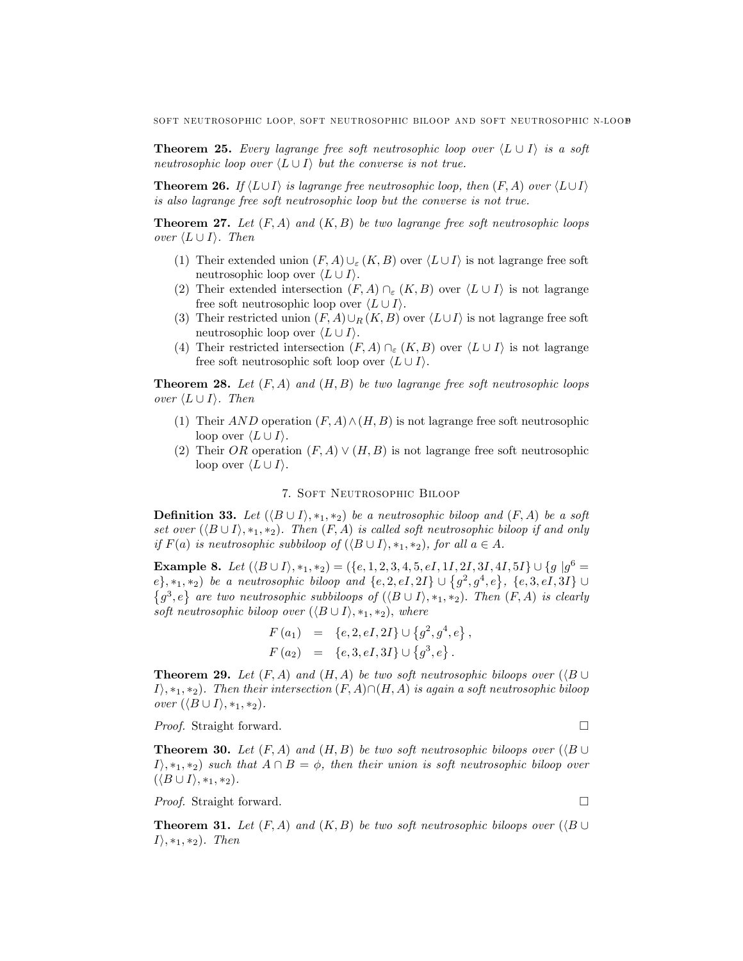**Theorem 25.** Every lagrange free soft neutrosophic loop over  $\langle L \cup I \rangle$  is a soft neutrosophic loop over  $\langle L \cup I \rangle$  but the converse is not true.

**Theorem 26.** If  $\langle L \cup I \rangle$  is lagrange free neutrosophic loop, then  $(F, A)$  over  $\langle L \cup I \rangle$ is also lagrange free soft neutrosophic loop but the converse is not true.

**Theorem 27.** Let  $(F, A)$  and  $(K, B)$  be two lagrange free soft neutrosophic loops over  $\langle L \cup I \rangle$ . Then

- (1) Their extended union  $(F, A) \cup_{\varepsilon} (K, B)$  over  $\langle L \cup I \rangle$  is not lagrange free soft neutrosophic loop over  $\langle L \cup I \rangle$ .
- (2) Their extended intersection  $(F, A) \cap_{\varepsilon} (K, B)$  over  $\langle L \cup I \rangle$  is not lagrange free soft neutrosophic loop over  $\langle L \cup I \rangle$ .
- (3) Their restricted union  $(F, A) \cup_R (K, B)$  over  $\langle L \cup I \rangle$  is not lagrange free soft neutrosophic loop over  $\langle L \cup I \rangle$ .
- (4) Their restricted intersection  $(F, A) \cap_{\varepsilon} (K, B)$  over  $\langle L \cup I \rangle$  is not lagrange free soft neutrosophic soft loop over  $\langle L \cup I \rangle$ .

**Theorem 28.** Let  $(F, A)$  and  $(H, B)$  be two lagrange free soft neutrosophic loops over  $\langle L \cup I \rangle$ . Then

- (1) Their AND operation  $(F, A) \wedge (H, B)$  is not lagrange free soft neutrosophic loop over  $\langle L \cup I \rangle$ .
- (2) Their OR operation  $(F, A) \vee (H, B)$  is not lagrange free soft neutrosophic loop over  $\langle L \cup I \rangle$ .

## 7. Soft Neutrosophic Biloop

**Definition 33.** Let  $(\langle B \cup I \rangle, *_{1}, *_{2})$  be a neutrosophic biloop and  $(F, A)$  be a soft set over  $(\langle B \cup I \rangle, *_1, *_2)$ . Then  $(F, A)$  is called soft neutrosophic biloop if and only if  $F(a)$  is neutrosophic subbiloop of  $(\langle B \cup I \rangle, *_1, *_2)$ , for all  $a \in A$ .

**Example 8.** Let  $(\langle B \cup I \rangle, *_1, *_2) = (\{e, 1, 2, 3, 4, 5, eI, 1I, 2I, 3I, 4I, 5I\} \cup \{g \mid g^6 =$  $e\}, *_{1}, *_{2})$  be a neutrosophic biloop and  $\{e, 2, eI, 2I\} \cup \{g^{2}, g^{4}, e\}, \{e, 3, eI, 3I\} \cup$  $\{g^3,e\}$  are two neutrosophic subbiloops of  $(\langle B\cup I\rangle, *_1, *_2)$ . Then  $(F, A)$  is clearly soft neutrosophic biloop over  $(\langle B \cup I \rangle, *_1, *_2)$ , where

$$
F(a_1) = \{e, 2, eI, 2I\} \cup \{g^2, g^4, e\},
$$
  

$$
F(a_2) = \{e, 3, eI, 3I\} \cup \{g^3, e\}.
$$

**Theorem 29.** Let  $(F, A)$  and  $(H, A)$  be two soft neutrosophic biloops over  $(\langle B \cup$  $I\rangle$ , \*1, \*2). Then their intersection  $(F, A) \cap (H, A)$  is again a soft neutrosophic biloop over  $(\langle B \cup I \rangle, *_1, *_2)$ .

*Proof.* Straight forward. □

**Theorem 30.** Let  $(F, A)$  and  $(H, B)$  be two soft neutrosophic biloops over  $(\langle B \cup$  $I\rangle$ ,  $*_1$ ,  $*_2$ ) such that  $A \cap B = \phi$ , then their union is soft neutrosophic biloop over  $(\langle B \cup I \rangle, *_1, *_2).$ 

*Proof.* Straight forward. □

**Theorem 31.** Let  $(F, A)$  and  $(K, B)$  be two soft neutrosophic biloops over  $(\langle B \cup$  $I\rangle$ , \*1, \*2). Then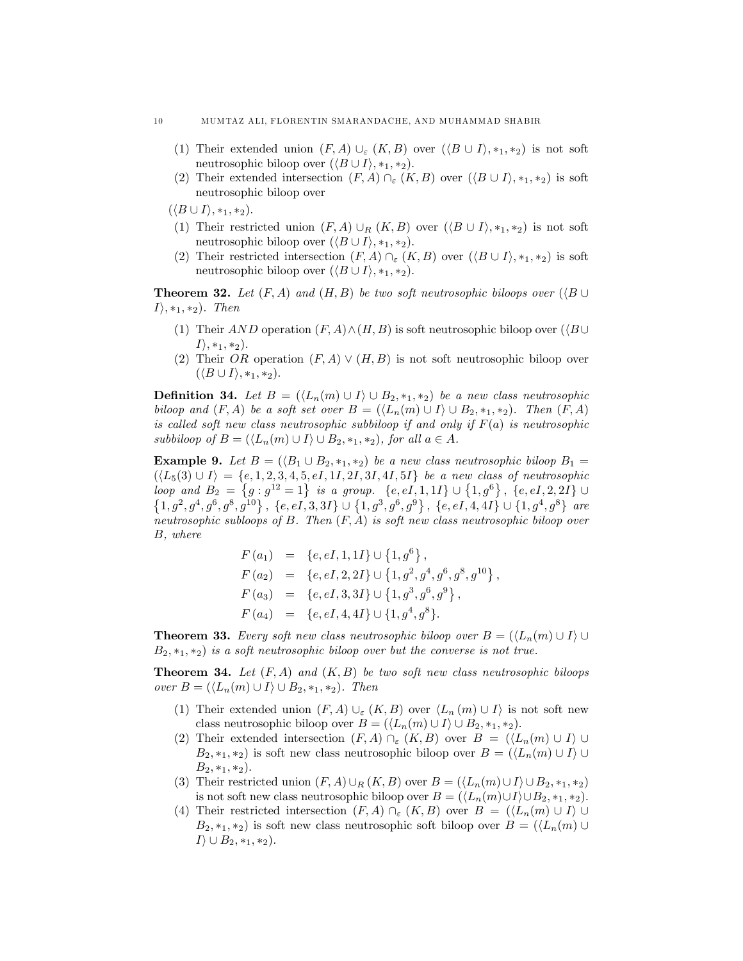- (1) Their extended union  $(F, A) \cup_{\varepsilon} (K, B)$  over  $(\langle B \cup I \rangle, *_{1}, *_{2})$  is not soft neutrosophic biloop over  $(\langle B \cup I \rangle, *_1, *_2)$ .
- (2) Their extended intersection  $(F, A) \cap_{\varepsilon} (K, B)$  over  $(\langle B \cup I \rangle, *_1, *_2)$  is soft neutrosophic biloop over

 $(\langle B \cup I \rangle, *_1, *_2).$ 

- (1) Their restricted union  $(F, A) \cup_R (K, B)$  over  $(\langle B \cup I \rangle, *_1, *_2)$  is not soft neutrosophic biloop over  $(\langle B \cup I \rangle, *_1, *_2)$ .
- (2) Their restricted intersection  $(F, A) \cap_{\varepsilon} (K, B)$  over  $(\langle B \cup I \rangle, *_1, *_2)$  is soft neutrosophic biloop over  $(\langle B \cup I \rangle, *_1, *_2)$ .

**Theorem 32.** Let  $(F, A)$  and  $(H, B)$  be two soft neutrosophic biloops over  $(\langle B \cup$  $I\rangle$ , \*1, \*2). Then

- (1) Their AND operation  $(F, A) \wedge (H, B)$  is soft neutrosophic biloop over  $(\langle B \cup$  $I\rangle$ , \*1, \*2).
- (2) Their OR operation  $(F, A) \vee (H, B)$  is not soft neutrosophic biloop over  $(\langle B \cup I \rangle, *_{1}, *_{2}).$

**Definition 34.** Let  $B = (\langle L_n(m) \cup I \rangle \cup B_2, \overline{\ast}_1, \overline{\ast}_2)$  be a new class neutrosophic biloop and  $(F, A)$  be a soft set over  $B = (\langle L_n(m) \cup I \rangle \cup B_2, *_1, *_2)$ . Then  $(F, A)$ is called soft new class neutrosophic subbiloop if and only if  $F(a)$  is neutrosophic subbiloop of  $B = (\langle L_n(m) \cup I \rangle \cup B_2, *_1, *_2)$ , for all  $a \in A$ .

**Example 9.** Let  $B = (\langle B_1 \cup B_2, \ast_1, \ast_2 \rangle)$  be a new class neutrosophic biloop  $B_1 =$  $(\langle L_5(3) \cup I \rangle = \{e, 1, 2, 3, 4, 5, eI, 1I, 2I, 3I, 4I, 5I\}$  be a new class of neutrosophic loop and  $B_2 = \{g : g^{12} = 1\}$  is a group.  $\{e, eI, 1, 1I\} \cup \{1, g^6\}$ ,  $\{e, eI, 2, 2I\} \cup \{1, g^2, g^4, g^6, g^8, g^{10}\}$ ,  $\{e, eI, 3, 3I\} \cup \{1, g^3, g^6, g^9\}$ ,  $\{e, eI, 4, 4I\} \cup \{1, g^4, g^8\}$  are neutrosophic subloops of B. Then  $(F, A)$  is soft new class neutrosophic biloop over B, where

$$
F(a_1) = \{e, eI, 1, 1I\} \cup \{1, g^6\},
$$
  
\n
$$
F(a_2) = \{e, eI, 2, 2I\} \cup \{1, g^2, g^4, g^6, g^8, g^{10}\},
$$
  
\n
$$
F(a_3) = \{e, eI, 3, 3I\} \cup \{1, g^3, g^6, g^9\},
$$
  
\n
$$
F(a_4) = \{e, eI, 4, 4I\} \cup \{1, g^4, g^8\}.
$$

**Theorem 33.** Every soft new class neutrosophic biloop over  $B = (\langle L_n(m) \cup I \rangle \cup$  $B_2, *_1, *_2$  is a soft neutrosophic biloop over but the converse is not true.

**Theorem 34.** Let  $(F, A)$  and  $(K, B)$  be two soft new class neutrosophic biloops over  $B = (\langle L_n(m) \cup I \rangle \cup B_2, *_1, *_2)$ . Then

- (1) Their extended union  $(F, A) \cup_{\varepsilon} (K, B)$  over  $\langle L_n (m) \cup I \rangle$  is not soft new class neutrosophic biloop over  $B = (\langle L_n(m) \cup I \rangle \cup B_2, *_1, *_2).$
- (2) Their extended intersection  $(F, A) \cap_{\varepsilon} (K, B)$  over  $B = (\langle L_n(m) \cup I \rangle \cup$  $B_2, *_1, *_2$ ) is soft new class neutrosophic biloop over  $B = (\langle L_n(m) \cup I \rangle \cup$  $B_2, *_1, *_2$ .
- (3) Their restricted union  $(F, A) \cup_R (K, B)$  over  $B = (\langle L_n(m) \cup I \rangle \cup B_2, *_1, *_2)$ is not soft new class neutrosophic biloop over  $B = (\langle L_n(m) \cup I \rangle \cup B_2, *_1, *_2).$
- (4) Their restricted intersection  $(F, A) \cap_{\varepsilon} (K, B)$  over  $B = (\langle L_n(m) \cup I \rangle \cup$  $B_2, *_1, *_2$ ) is soft new class neutrosophic soft biloop over  $B = (\langle L_n(m) \cup$  $I\rangle \cup B_2, *_1, *_2$ .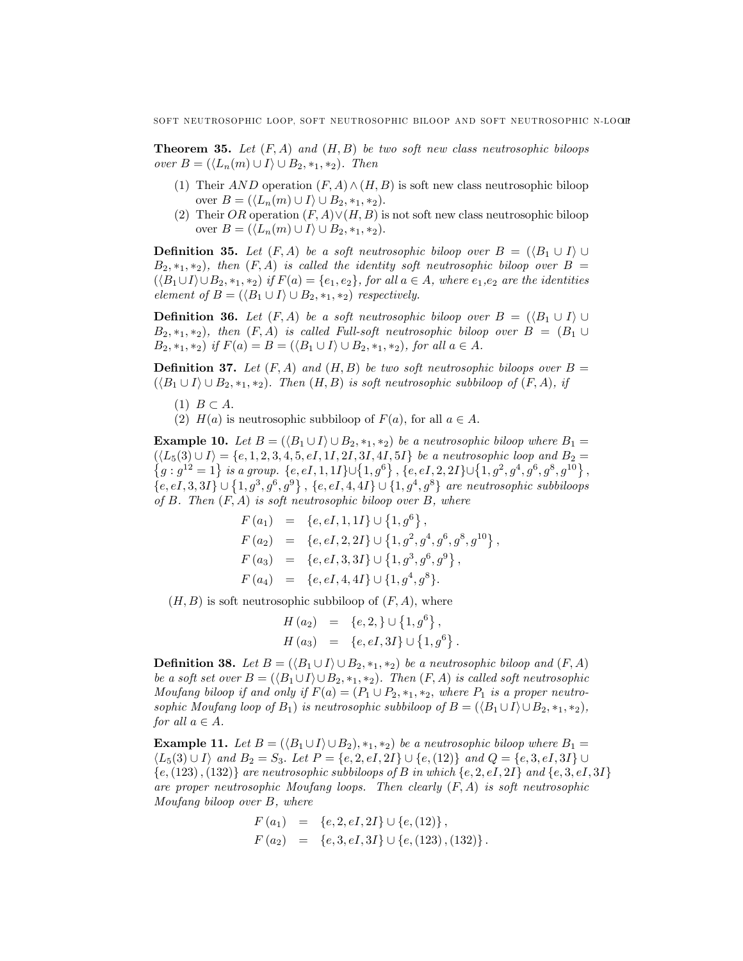**Theorem 35.** Let  $(F, A)$  and  $(H, B)$  be two soft new class neutrosophic biloops over  $B = (\langle L_n(m) \cup I \rangle \cup B_2, *_1, *_2)$ . Then

- (1) Their AND operation  $(F, A) \wedge (H, B)$  is soft new class neutrosophic biloop over  $B = (\langle L_n(m) \cup I \rangle \cup B_2, *_1, *_2).$
- (2) Their OR operation  $(F, A) \vee (H, B)$  is not soft new class neutrosophic biloop over  $B = (\langle L_n(m) \cup I \rangle \cup B_2, *_1, *_2).$

**Definition 35.** Let  $(F, A)$  be a soft neutrosophic biloop over  $B = (\langle B_1 \cup I \rangle \cup$  $B_2$ ,  $*_1$ ,  $*_2$ ), then  $(F, A)$  is called the identity soft neutrosophic biloop over  $B =$  $(\langle B_1 \cup I \rangle \cup B_2, *_1, *_2)$  if  $F(a) = \{e_1, e_2\}$ , for all  $a \in A$ , where  $e_1, e_2$  are the identities element of  $B = (\langle B_1 \cup I \rangle \cup B_2, \ast_1, \ast_2)$  respectively.

**Definition 36.** Let  $(F, A)$  be a soft neutrosophic biloop over  $B = (\langle B_1 \cup I \rangle \cup$  $B_2$ , \*1, \*2), then  $(F, A)$  is called Full-soft neutrosophic biloop over  $B = (B_1 \cup$  $B_2, *_1, *_2$  if  $F(a) = B = (\langle B_1 \cup I \rangle \cup B_2, *_1, *_2)$ , for all  $a \in A$ .

**Definition 37.** Let  $(F, A)$  and  $(H, B)$  be two soft neutrosophic biloops over  $B =$  $(\langle B_1 \cup I \rangle \cup B_2, *_1, *_2)$ . Then  $(H, B)$  is soft neutrosophic subbiloop of  $(F, A)$ , if

 $(1)$   $B \subset A$ .

(2)  $H(a)$  is neutrosophic subbiloop of  $F(a)$ , for all  $a \in A$ .

**Example 10.** Let  $B = (\langle B_1 \cup I \rangle \cup B_2, *_1, *_2)$  be a neutrosophic biloop where  $B_1 = (\langle L_5(3) \cup I \rangle = \{e, 1, 2, 3, 4, 5, eI, 1I, 2I, 3I, 4I, 5I\}$  be a neutrosophic loop and  $B_2 =$  $(\langle L_5(3) \cup I \rangle = \{e, 1, 2, 3, 4, 5, eI, 1I, 2I, 3I, 4I, 5I\}$  be a neutrosophic loop and  $B_2 = \{g : g^{12} = 1\}$  is a group.  $\{e, eI, 1, 1I\} \cup \{1, g^6\}$ ,  $\{e, eI, 2, 2I\} \cup \{1, g^2, g^4, g^6, g^8, g^{10}\}$ ,  $\{e,eI,3,3I\}\cup\{1,g^3,g^6,g^9\}$ ,  $\{e,eI,4,4I\}\cup\{1,g^4,g^8\}$  are neutrosophic subbiloops of  $B$ . Then  $(F, A)$  is soft neutrosophic biloop over  $B$ , where

$$
F(a_1) = \{e, eI, 1, 1I\} \cup \{1, g^6\},
$$
  
\n
$$
F(a_2) = \{e, eI, 2, 2I\} \cup \{1, g^2, g^4, g^6, g^8, g^{10}\},
$$
  
\n
$$
F(a_3) = \{e, eI, 3, 3I\} \cup \{1, g^3, g^6, g^9\},
$$
  
\n
$$
F(a_4) = \{e, eI, 4, 4I\} \cup \{1, g^4, g^8\}.
$$

 $(H, B)$  is soft neutrosophic subbiloop of  $(F, A)$ , where

$$
H(a_2) = \{e, 2, \} \cup \{1, g^6\},
$$
  

$$
H(a_3) = \{e, eI, 3I\} \cup \{1, g^6\}.
$$

**Definition 38.** Let  $B = (\langle B_1 \cup I \rangle \cup B_2, \ast_1, \ast_2)$  be a neutrosophic biloop and  $(F, A)$ be a soft set over  $B = (\langle B_1 \cup I \rangle \cup B_2, \ast_1, \ast_2)$ . Then  $(F, A)$  is called soft neutrosophic Moufang biloop if and only if  $F(a) = (P_1 \cup P_2, *_1, *_2,$  where  $P_1$  is a proper neutrosophic Moufang loop of  $B_1$ ) is neutrosophic subbiloop of  $B = (\langle B_1 \cup I \rangle \cup B_2, \ast_1, \ast_2),$ for all  $a \in A$ .

**Example 11.** Let  $B = (\langle B_1 \cup I \rangle \cup B_2), *_1, *_2)$  be a neutrosophic biloop where  $B_1 =$  $\langle L_5(3) \cup I \rangle$  and  $B_2 = S_3$ . Let  $P = \{e, 2, eI, 2I\} \cup \{e, (12)\}$  and  $Q = \{e, 3, eI, 3I\} \cup$  $\{e,(123),(132)\}\;$  are neutrosophic subbiloops of B in which  $\{e,2,eI,2I\}\;$  and  $\{e,3,eI,3I\}\;$ are proper neutrosophic Moufang loops. Then clearly  $(F, A)$  is soft neutrosophic Moufang biloop over B, where

$$
F(a_1) = \{e, 2, eI, 2I\} \cup \{e, (12)\},
$$
  

$$
F(a_2) = \{e, 3, eI, 3I\} \cup \{e, (123), (132)\}.
$$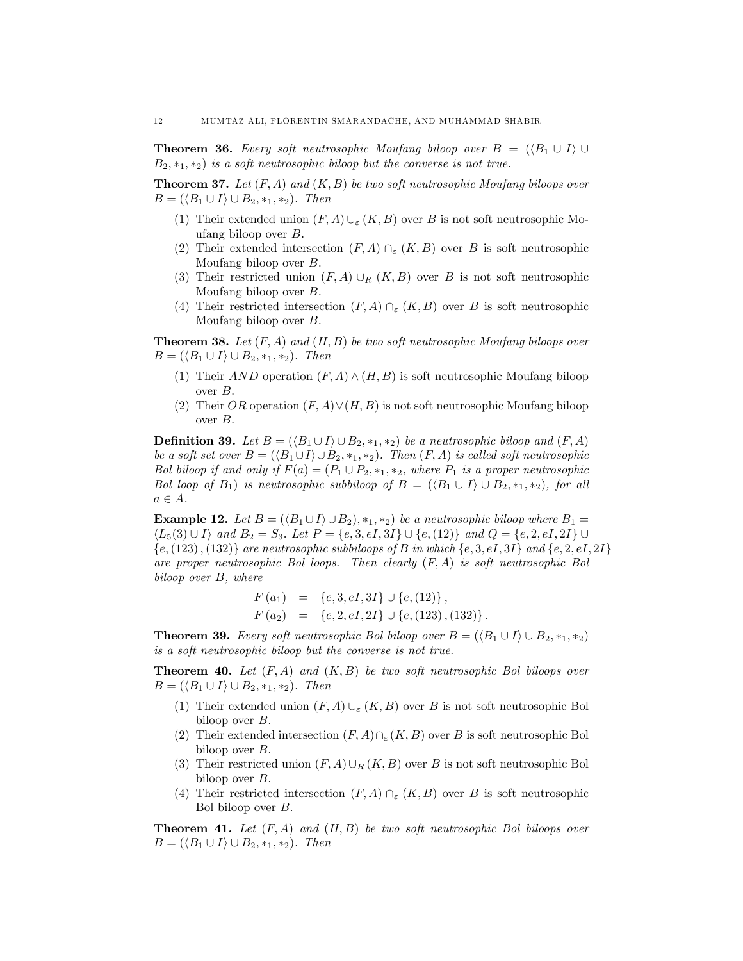**Theorem 36.** Every soft neutrosophic Moufang biloop over  $B = (\langle B_1 \cup I \rangle \cup$  $B_2, *_1, *_2$  is a soft neutrosophic biloop but the converse is not true.

**Theorem 37.** Let  $(F, A)$  and  $(K, B)$  be two soft neutrosophic Moufang biloops over  $B = (\langle B_1 \cup I \rangle \cup B_2, \ast_1, \ast_2).$  Then

- (1) Their extended union  $(F, A) \cup_{\varepsilon} (K, B)$  over B is not soft neutrosophic Moufang biloop over B.
- (2) Their extended intersection  $(F, A) \cap_{\varepsilon} (K, B)$  over B is soft neutrosophic Moufang biloop over B.
- (3) Their restricted union  $(F, A) \cup_R (K, B)$  over B is not soft neutrosophic Moufang biloop over B.
- (4) Their restricted intersection  $(F, A) \cap_{\varepsilon} (K, B)$  over B is soft neutrosophic Moufang biloop over B.

**Theorem 38.** Let  $(F, A)$  and  $(H, B)$  be two soft neutrosophic Moufang biloops over  $B = (\langle B_1 \cup I \rangle \cup B_2, \ast_1, \ast_2)$ . Then

- (1) Their AND operation  $(F, A) \wedge (H, B)$  is soft neutrosophic Moufang biloop over  $B$ .
- (2) Their OR operation  $(F, A) \vee (H, B)$  is not soft neutrosophic Moufang biloop over B.

**Definition 39.** Let  $B = (\langle B_1 \cup I \rangle \cup B_2, \ast_1, \ast_2)$  be a neutrosophic biloop and  $(F, A)$ be a soft set over  $B = (\langle B_1 \cup I \rangle \cup B_2, *_1, *_2)$ . Then  $(F, A)$  is called soft neutrosophic Bol biloop if and only if  $F(a) = (P_1 \cup P_2, *_1, *_2,$  where  $P_1$  is a proper neutrosophic Bol loop of  $B_1$ ) is neutrosophic subbiloop of  $B = (\langle B_1 \cup I \rangle \cup B_2, \ast_1, \ast_2)$ , for all  $a \in A$ .

**Example 12.** Let  $B = (\langle B_1 \cup I \rangle \cup B_2), *_1, *_2)$  be a neutrosophic biloop where  $B_1 =$  $\langle L_5(3) \cup I \rangle$  and  $B_2 = S_3$ . Let  $P = \{e, 3, eI, 3I\} \cup \{e, (12)\}$  and  $Q = \{e, 2, eI, 2I\} \cup$  $\{e,(123),(132)\}\;$  are neutrosophic subbiloops of B in which  $\{e, 3, eI, 3I\}\;$  and  $\{e, 2, eI, 2I\}\;$ are proper neutrosophic Bol loops. Then clearly  $(F, A)$  is soft neutrosophic Bol biloop over B, where

$$
F(a_1) = \{e, 3, eI, 3I\} \cup \{e, (12)\},
$$
  

$$
F(a_2) = \{e, 2, eI, 2I\} \cup \{e, (123), (132)\}.
$$

**Theorem 39.** Every soft neutrosophic Bol biloop over  $B = (\langle B_1 \cup I \rangle \cup B_2, \ast_1, \ast_2)$ is a soft neutrosophic biloop but the converse is not true.

**Theorem 40.** Let  $(F, A)$  and  $(K, B)$  be two soft neutrosophic Bol biloops over  $B = (\langle B_1 \cup I \rangle \cup B_2, \ast_1, \ast_2).$  Then

- (1) Their extended union  $(F, A) \cup_{\varepsilon} (K, B)$  over B is not soft neutrosophic Bol biloop over B.
- (2) Their extended intersection  $(F, A)\cap_{\varepsilon}(K, B)$  over B is soft neutrosophic Bol biloop over B.
- (3) Their restricted union  $(F, A) \cup_R (K, B)$  over B is not soft neutrosophic Bol biloop over B.
- (4) Their restricted intersection  $(F, A) \cap_{\varepsilon} (K, B)$  over B is soft neutrosophic Bol biloop over B.

**Theorem 41.** Let  $(F, A)$  and  $(H, B)$  be two soft neutrosophic Bol biloops over  $B = (\langle B_1 \cup I \rangle \cup B_2, \ast_1, \ast_2).$  Then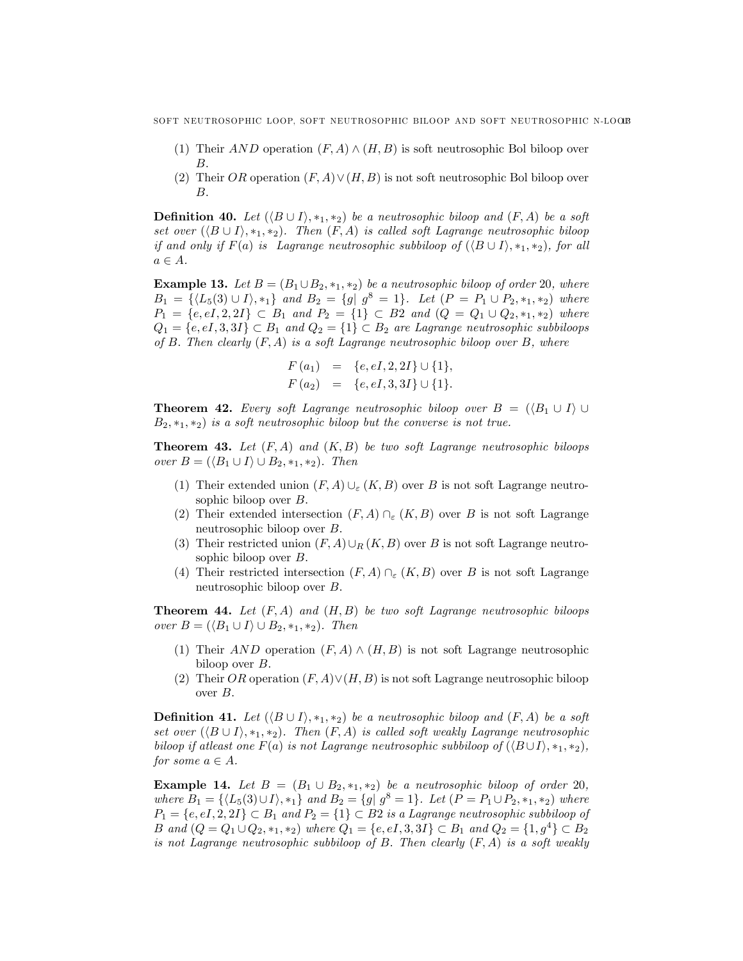- (1) Their AND operation  $(F, A) \wedge (H, B)$  is soft neutrosophic Bol biloop over B.
- (2) Their OR operation  $(F, A) \vee (H, B)$  is not soft neutrosophic Bol biloop over B.

**Definition 40.** Let  $(\langle B \cup I \rangle, *_{1}, *_{2})$  be a neutrosophic biloop and  $(F, A)$  be a soft set over  $(\langle B \cup I \rangle, *_1, *_2)$ . Then  $(F, A)$  is called soft Lagrange neutrosophic biloop if and only if  $F(a)$  is Lagrange neutrosophic subbiloop of  $(\langle B \cup I \rangle, *_1, *_2)$ , for all  $a \in A$ .

**Example 13.** Let  $B = (B_1 \cup B_2, \ast_1, \ast_2)$  be a neutrosophic biloop of order 20, where  $B_1 = \{(L_5(3) \cup I), *_1\}$  and  $B_2 = \{g | g^8 = 1\}$ . Let  $(P = P_1 \cup P_2, *_1, *_2)$  where  $P_1 = \{e, eI, 2, 2I\} \subset B_1$  and  $P_2 = \{1\} \subset B_2$  and  $(Q = Q_1 \cup Q_2, *_1, *_2)$  where  $Q_1 = \{e, eI, 3, 3I\} \subset B_1$  and  $Q_2 = \{1\} \subset B_2$  are Lagrange neutrosophic subbiloops of B. Then clearly  $(F, A)$  is a soft Lagrange neutrosophic biloop over B, where

$$
F(a_1) = \{e, eI, 2, 2I\} \cup \{1\},
$$
  

$$
F(a_2) = \{e, eI, 3, 3I\} \cup \{1\}.
$$

**Theorem 42.** Every soft Lagrange neutrosophic biloop over  $B = (\langle B_1 \cup I \rangle \cup$  $B_2, *_1, *_2$  is a soft neutrosophic biloop but the converse is not true.

**Theorem 43.** Let  $(F, A)$  and  $(K, B)$  be two soft Lagrange neutrosophic biloops over  $B = (\langle B_1 \cup I \rangle \cup B_2, *_1, *_2)$ . Then

- (1) Their extended union  $(F, A) \cup_{\varepsilon} (K, B)$  over B is not soft Lagrange neutrosophic biloop over B.
- (2) Their extended intersection  $(F, A) \cap_{\varepsilon} (K, B)$  over B is not soft Lagrange neutrosophic biloop over B.
- (3) Their restricted union  $(F, A) \cup_R (K, B)$  over B is not soft Lagrange neutrosophic biloop over B.
- (4) Their restricted intersection  $(F, A) \cap_{\varepsilon} (K, B)$  over B is not soft Lagrange neutrosophic biloop over B.

**Theorem 44.** Let  $(F, A)$  and  $(H, B)$  be two soft Lagrange neutrosophic biloops over  $B = (\langle B_1 \cup I \rangle \cup B_2, \ast_1, \ast_2)$ . Then

- (1) Their AND operation  $(F, A) \wedge (H, B)$  is not soft Lagrange neutrosophic biloop over B.
- (2) Their OR operation  $(F, A) \vee (H, B)$  is not soft Lagrange neutrosophic biloop over B.

**Definition 41.** Let  $(\langle B \cup I \rangle, *_1, *_2)$  be a neutrosophic biloop and  $(F, A)$  be a soft set over  $(\langle B \cup I \rangle, *_1, *_2)$ . Then  $(F, A)$  is called soft weakly Lagrange neutrosophic biloop if atleast one  $F(a)$  is not Lagrange neutrosophic subbiloop of  $(\langle B \cup I \rangle, *, *, *_2)$ , for some  $a \in A$ .

**Example 14.** Let  $B = (B_1 \cup B_2, *_1, *_2)$  be a neutrosophic biloop of order 20, where  $B_1 = \{ \langle L_5(3) \cup I \rangle, *_1 \}$  and  $B_2 = \{ g | g^8 = 1 \}$ . Let  $(P = P_1 \cup P_2, *_1, *_2)$  where  $P_1 = \{e, eI, 2, 2I\} \subset B_1$  and  $P_2 = \{1\} \subset B_2$  is a Lagrange neutrosophic subbiloop of B and  $(Q = Q_1 \cup Q_2, *_1, *_2)$  where  $Q_1 = \{e, eI, 3, 3I\} \subset B_1$  and  $Q_2 = \{1, g^4\} \subset B_2$ is not Lagrange neutrosophic subbiloop of  $B$ . Then clearly  $(F, A)$  is a soft weakly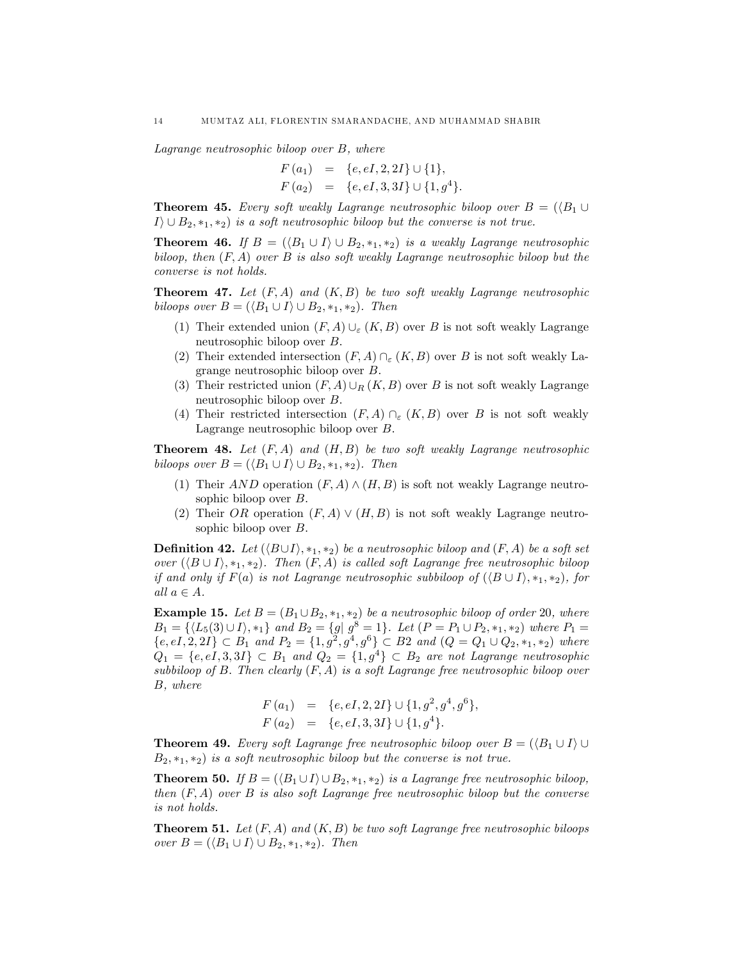Lagrange neutrosophic biloop over B, where

$$
F(a_1) = \{e, eI, 2, 2I\} \cup \{1\},
$$
  

$$
F(a_2) = \{e, eI, 3, 3I\} \cup \{1, g^4\}.
$$

**Theorem 45.** Every soft weakly Lagrange neutrosophic biloop over  $B = (\langle B_1 \cup B_2 \rangle)$  $I\setminus\cup B_2, *_1, *_2$  is a soft neutrosophic biloop but the converse is not true.

**Theorem 46.** If  $B = (\langle B_1 \cup I \rangle \cup B_2, \ast_1, \ast_2)$  is a weakly Lagrange neutrosophic biloop, then  $(F, A)$  over B is also soft weakly Lagrange neutrosophic biloop but the converse is not holds.

**Theorem 47.** Let  $(F, A)$  and  $(K, B)$  be two soft weakly Lagrange neutrosophic biloops over  $B = (\langle B_1 \cup I \rangle \cup B_2, *_1, *_2)$ . Then

- (1) Their extended union  $(F, A) \cup_{\varepsilon} (K, B)$  over B is not soft weakly Lagrange neutrosophic biloop over B.
- (2) Their extended intersection  $(F, A) \cap_{\varepsilon} (K, B)$  over B is not soft weakly Lagrange neutrosophic biloop over B.
- (3) Their restricted union  $(F, A) \cup_R (K, B)$  over B is not soft weakly Lagrange neutrosophic biloop over B.
- (4) Their restricted intersection  $(F, A) \cap_{\varepsilon} (K, B)$  over B is not soft weakly Lagrange neutrosophic biloop over B.

**Theorem 48.** Let  $(F, A)$  and  $(H, B)$  be two soft weakly Lagrange neutrosophic biloops over  $B = (\langle B_1 \cup I \rangle \cup B_2, *_1, *_2)$ . Then

- (1) Their AND operation  $(F, A) \wedge (H, B)$  is soft not weakly Lagrange neutrosophic biloop over B.
- (2) Their OR operation  $(F, A) \vee (H, B)$  is not soft weakly Lagrange neutrosophic biloop over B.

**Definition 42.** Let  $(\langle B \cup I \rangle, *_1, *_2)$  be a neutrosophic biloop and  $(F, A)$  be a soft set over  $(\langle B \cup I \rangle, *_1, *_2)$ . Then  $(F, A)$  is called soft Lagrange free neutrosophic biloop if and only if  $F(a)$  is not Lagrange neutrosophic subbiloop of  $(\langle B \cup I \rangle, *_1, *_2)$ , for all  $a \in A$ .

**Example 15.** Let  $B = (B_1 \cup B_2, \ast_1, \ast_2)$  be a neutrosophic biloop of order 20, where  $B_1 = \{ \langle L_5(3) \cup I \rangle, *_1 \}$  and  $B_2 = \{ g | g^8 = 1 \}$ . Let  $(P = P_1 \cup P_2, *_1, *_2)$  where  $P_1 =$  ${e, eI, 2, 2I} \subset B_1$  and  $P_2 = {1, g^2, g^4, g^6} \subset B_2$  and  $(Q = Q_1 \cup Q_2, *_1, *_2)$  where  $Q_1 = \{e, eI, 3, 3I\} \subset B_1$  and  $Q_2 = \{1, g^4\} \subset B_2$  are not Lagrange neutrosophic subbiloop of B. Then clearly  $(F, A)$  is a soft Lagrange free neutrosophic biloop over B, where

$$
F(a_1) = \{e, eI, 2, 2I\} \cup \{1, g^2, g^4, g^6\},
$$
  

$$
F(a_2) = \{e, eI, 3, 3I\} \cup \{1, g^4\}.
$$

**Theorem 49.** Every soft Lagrange free neutrosophic biloop over  $B = (\langle B_1 \cup I \rangle \cup$  $B_2, *_1, *_2$  is a soft neutrosophic biloop but the converse is not true.

**Theorem 50.** If  $B = (\langle B_1 \cup I \rangle \cup B_2, \ast_1, \ast_2)$  is a Lagrange free neutrosophic biloop, then  $(F, A)$  over B is also soft Lagrange free neutrosophic biloop but the converse is not holds.

**Theorem 51.** Let  $(F, A)$  and  $(K, B)$  be two soft Lagrange free neutrosophic biloops over  $B = (\langle B_1 \cup I \rangle \cup B_2, \ast_1, \ast_2)$ . Then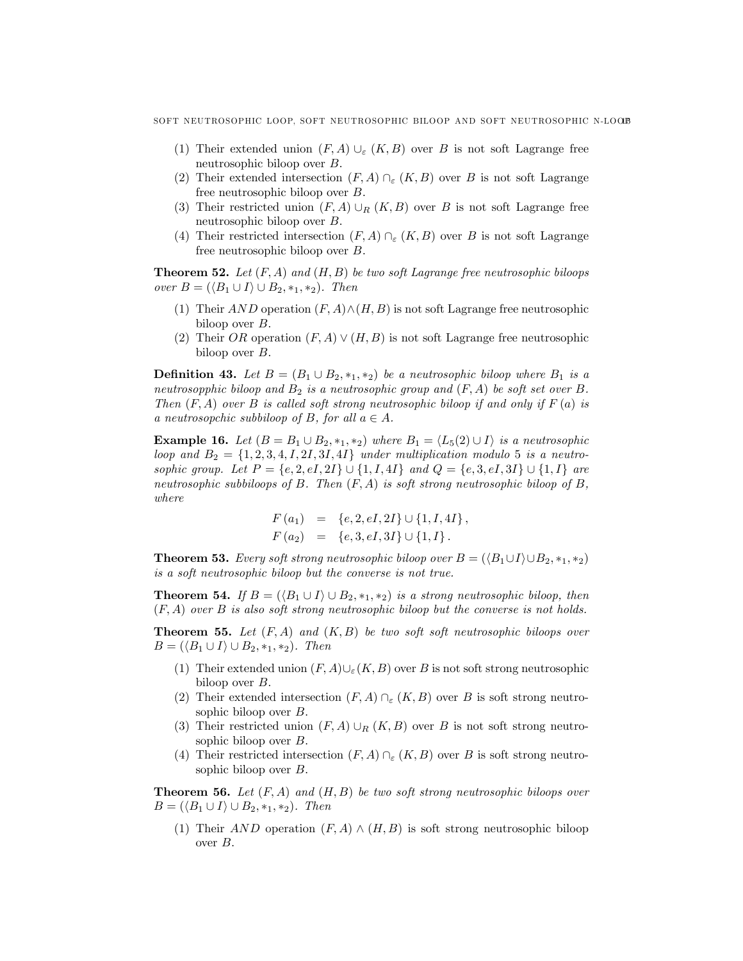- (1) Their extended union  $(F, A) \cup_{\varepsilon} (K, B)$  over B is not soft Lagrange free neutrosophic biloop over B.
- (2) Their extended intersection  $(F, A) \cap_{\varepsilon} (K, B)$  over B is not soft Lagrange free neutrosophic biloop over B.
- (3) Their restricted union  $(F, A) \cup_R (K, B)$  over B is not soft Lagrange free neutrosophic biloop over B.
- (4) Their restricted intersection  $(F, A) \cap_{\varepsilon} (K, B)$  over B is not soft Lagrange free neutrosophic biloop over B.

**Theorem 52.** Let  $(F, A)$  and  $(H, B)$  be two soft Lagrange free neutrosophic biloops over  $B = (\langle B_1 \cup I \rangle \cup B_2, *_1, *_2)$ . Then

- (1) Their AND operation  $(F, A) \wedge (H, B)$  is not soft Lagrange free neutrosophic biloop over B.
- (2) Their OR operation  $(F, A) \vee (H, B)$  is not soft Lagrange free neutrosophic biloop over B.

**Definition 43.** Let  $B = (B_1 \cup B_2, *_1, *_2)$  be a neutrosophic biloop where  $B_1$  is a neutrosopphic biloop and  $B_2$  is a neutrosophic group and  $(F, A)$  be soft set over B. Then  $(F, A)$  over B is called soft strong neutrosophic biloop if and only if  $F(a)$  is a neutrosopchic subbiloop of B, for all  $a \in A$ .

**Example 16.** Let  $(B = B_1 \cup B_2, *_1, *_2)$  where  $B_1 = \langle L_5(2) \cup I \rangle$  is a neutrosophic loop and  $B_2 = \{1, 2, 3, 4, I, 2I, 3I, 4I\}$  under multiplication modulo 5 is a neutrosophic group. Let  $P = \{e, 2, eI, 2I\} \cup \{1, I, 4I\}$  and  $Q = \{e, 3, eI, 3I\} \cup \{1, I\}$  are neutrosophic subbiloops of B. Then  $(F, A)$  is soft strong neutrosophic biloop of B, where

$$
F(a_1) = \{e, 2, eI, 2I\} \cup \{1, I, 4I\},
$$
  

$$
F(a_2) = \{e, 3, eI, 3I\} \cup \{1, I\}.
$$

**Theorem 53.** Every soft strong neutrosophic biloop over  $B = (\langle B_1 \cup I \rangle \cup B_2, *_1, *_2)$ is a soft neutrosophic biloop but the converse is not true.

**Theorem 54.** If  $B = (\langle B_1 \cup I \rangle \cup B_2, \ast_1, \ast_2)$  is a strong neutrosophic biloop, then  $(F, A)$  over B is also soft strong neutrosophic biloop but the converse is not holds.

**Theorem 55.** Let  $(F, A)$  and  $(K, B)$  be two soft soft neutrosophic biloops over  $B = (\langle B_1 \cup I \rangle \cup B_2, \ast_1, \ast_2).$  Then

- (1) Their extended union  $(F, A) \cup_{\varepsilon} (K, B)$  over B is not soft strong neutrosophic biloop over B.
- (2) Their extended intersection  $(F, A) \cap_{\varepsilon} (K, B)$  over B is soft strong neutrosophic biloop over B.
- (3) Their restricted union  $(F, A) \cup_R (K, B)$  over B is not soft strong neutrosophic biloop over B.
- (4) Their restricted intersection  $(F, A) \cap_{\varepsilon} (K, B)$  over B is soft strong neutrosophic biloop over B.

**Theorem 56.** Let  $(F, A)$  and  $(H, B)$  be two soft strong neutrosophic biloops over  $B = (\langle B_1 \cup I \rangle \cup B_2, \ast_1, \ast_2).$  Then

(1) Their AND operation  $(F, A) \wedge (H, B)$  is soft strong neutrosophic biloop over B.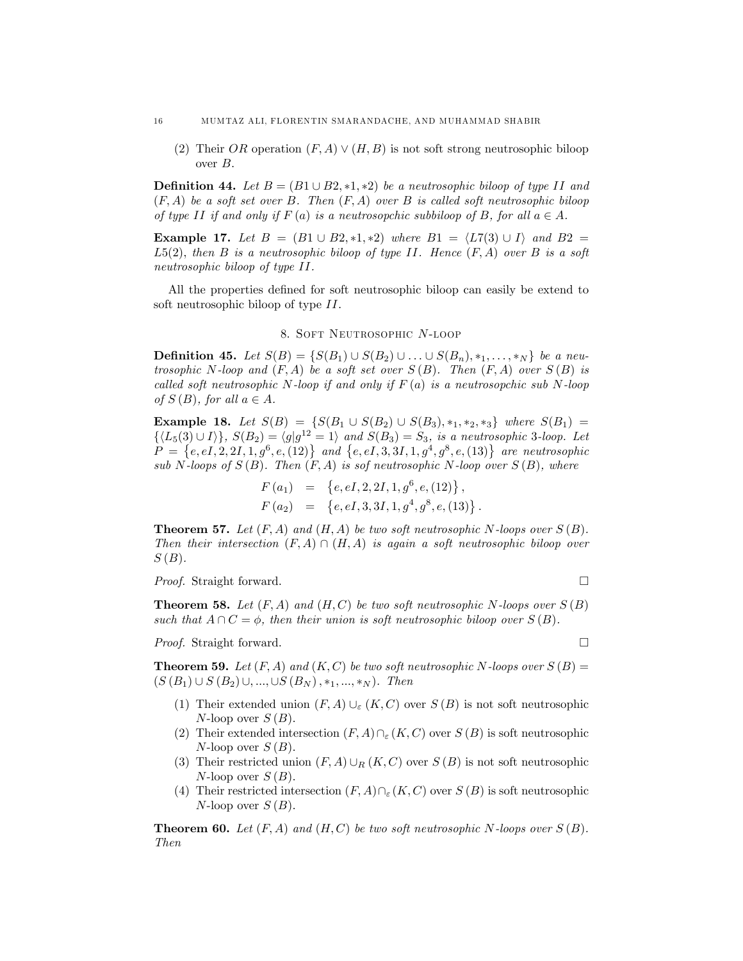(2) Their OR operation  $(F, A) \vee (H, B)$  is not soft strong neutrosophic biloop over  $B$ .

**Definition 44.** Let  $B = (B1 \cup B2, *1, *2)$  be a neutrosophic biloop of type II and  $(F, A)$  be a soft set over B. Then  $(F, A)$  over B is called soft neutrosophic biloop of type II if and only if  $F(a)$  is a neutrosopchic subbiloop of B, for all  $a \in A$ .

**Example 17.** Let  $B = (B1 \cup B2, *1, *2)$  where  $B1 = \langle L7(3) \cup I \rangle$  and  $B2 =$  $L5(2)$ , then B is a neutrosophic biloop of type II. Hence  $(F, A)$  over B is a soft neutrosophic biloop of type II.

All the properties defined for soft neutrosophic biloop can easily be extend to soft neutrosophic biloop of type II.

# 8. Soft Neutrosophic N-loop

**Definition 45.** Let  $S(B) = \{ S(B_1) \cup S(B_2) \cup ... \cup S(B_n), *_1, ..., *_N \}$  be a neutrosophic N-loop and  $(F, A)$  be a soft set over  $S(B)$ . Then  $(F, A)$  over  $S(B)$  is called soft neutrosophic N-loop if and only if  $F(a)$  is a neutrosopchic sub N-loop of  $S(B)$ , for all  $a \in A$ .

**Example 18.** Let  $S(B) = \{S(B_1 \cup S(B_2) \cup S(B_3), *_1, *_2, *_3\}$  where  $S(B_1) =$  $\{\langle L_5(3) \cup I \rangle\}$ ,  $S(B_2) = \langle g | g^{12} = 1 \rangle$  and  $S(B_3) = S_3$ , is a neutrosophic 3-loop. Let  $P = \{e, eI, 2, 2I, 1, g^6, e, (12)\}$  and  $\{e, eI, 3, 3I, 1, g^4, g^8, e, (13)\}$  are neutrosophic sub N-loops of  $S(B)$ . Then  $(F, A)$  is sof neutrosophic N-loop over  $S(B)$ , where

$$
F(a_1) = \{e, eI, 2, 2I, 1, g^6, e, (12)\},
$$
  

$$
F(a_2) = \{e, eI, 3, 3I, 1, g^4, g^8, e, (13)\}.
$$

**Theorem 57.** Let  $(F, A)$  and  $(H, A)$  be two soft neutrosophic N-loops over  $S(B)$ . Then their intersection  $(F, A) \cap (H, A)$  is again a soft neutrosophic biloop over  $S(B)$ .

*Proof.* Straight forward. □

**Theorem 58.** Let  $(F, A)$  and  $(H, C)$  be two soft neutrosophic N-loops over  $S(B)$ such that  $A \cap C = \phi$ , then their union is soft neutrosophic biloop over  $S(B)$ .

*Proof.* Straight forward. □

**Theorem 59.** Let  $(F, A)$  and  $(K, C)$  be two soft neutrosophic N-loops over  $S(B)$  =  $(S (B_1) \cup S (B_2) \cup, ..., \cup S (B_N), *_1, ..., *_N).$  Then

- (1) Their extended union  $(F, A) \cup_{\varepsilon} (K, C)$  over  $S(B)$  is not soft neutrosophic  $N$ -loop over  $S(B)$ .
- (2) Their extended intersection  $(F, A) \cap_{\varepsilon} (K, C)$  over  $S (B)$  is soft neutrosophic  $N$ -loop over  $S(B)$ .
- (3) Their restricted union  $(F, A) \cup_R (K, C)$  over  $S (B)$  is not soft neutrosophic  $N$ -loop over  $S(B)$ .
- (4) Their restricted intersection  $(F, A) \cap_{\varepsilon} (K, C)$  over  $S (B)$  is soft neutrosophic  $N$ -loop over  $S(B)$ .

**Theorem 60.** Let  $(F, A)$  and  $(H, C)$  be two soft neutrosophic N-loops over  $S(B)$ . Then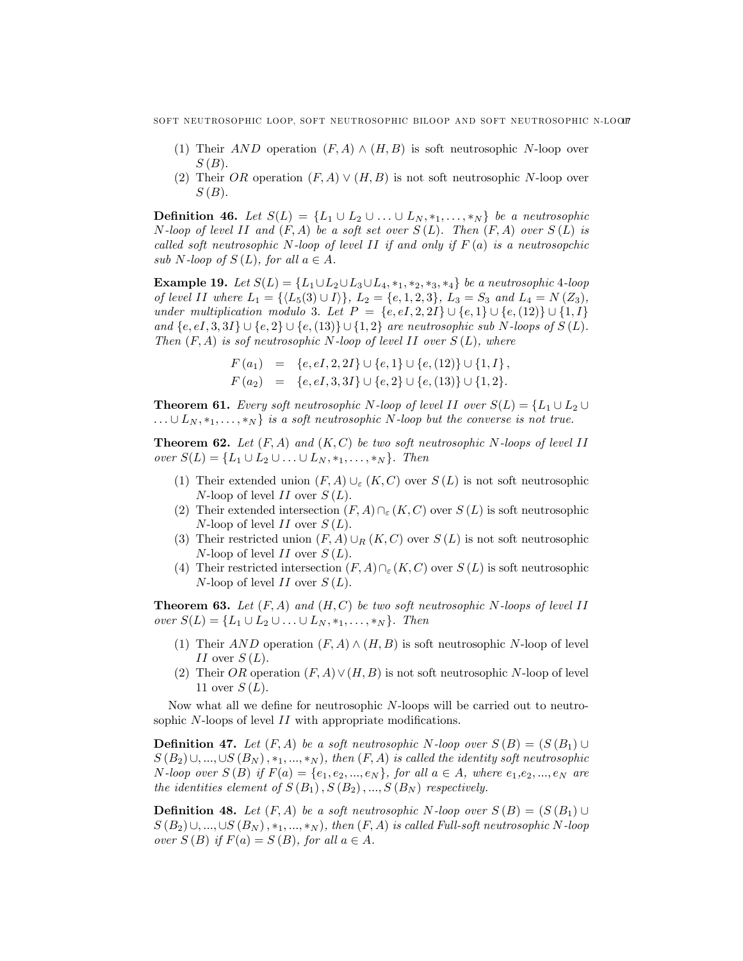- (1) Their AND operation  $(F, A) \wedge (H, B)$  is soft neutrosophic N-loop over  $S(B)$ .
- (2) Their OR operation  $(F, A) \vee (H, B)$  is not soft neutrosophic N-loop over  $S(B)$ .

**Definition 46.** Let  $S(L) = \{L_1 \cup L_2 \cup ... \cup L_N, *_1, ..., *_N\}$  be a neutrosophic N-loop of level II and  $(F, A)$  be a soft set over  $S(L)$ . Then  $(F, A)$  over  $S(L)$  is called soft neutrosophic N-loop of level II if and only if  $F(a)$  is a neutrosopchic sub N-loop of  $S(L)$ , for all  $a \in A$ .

**Example 19.** Let  $S(L) = \{L_1 \cup L_2 \cup L_3 \cup L_4, *_1, *_2, *_3, *_4\}$  be a neutrosophic 4-loop of level II where  $L_1 = \{ \langle L_5(3) \cup I \rangle \}, L_2 = \{e, 1, 2, 3\}, L_3 = S_3 \text{ and } L_4 = N(Z_3),$ under multiplication modulo 3. Let  $P = \{e, eI, 2, 2I\} \cup \{e, 1\} \cup \{e, (12)\} \cup \{1, I\}$ and  $\{e, eI, 3, 3I\} \cup \{e, 2\} \cup \{e, (13)\} \cup \{1, 2\}$  are neutrosophic sub N-loops of  $S(L)$ . Then  $(F, A)$  is sof neutrosophic N-loop of level II over  $S(L)$ , where

$$
F(a_1) = \{e, eI, 2, 2I\} \cup \{e, 1\} \cup \{e, (12)\} \cup \{1, I\},
$$
  

$$
F(a_2) = \{e, eI, 3, 3I\} \cup \{e, 2\} \cup \{e, (13)\} \cup \{1, 2\}.
$$

**Theorem 61.** Every soft neutrosophic N-loop of level II over  $S(L) = \{L_1 \cup L_2 \cup L_3\}$  $\ldots \cup L_N$ ,  $*_1, \ldots, *_N$  is a soft neutrosophic N-loop but the converse is not true.

**Theorem 62.** Let  $(F, A)$  and  $(K, C)$  be two soft neutrosophic N-loops of level II over  $S(L) = \{L_1 \cup L_2 \cup ... \cup L_N, *_1, ..., *_N\}$ . Then

- (1) Their extended union  $(F, A) \cup_{\varepsilon} (K, C)$  over  $S(L)$  is not soft neutrosophic  $N$ -loop of level II over  $S(L)$ .
- (2) Their extended intersection  $(F, A) \cap_{\varepsilon} (K, C)$  over  $S (L)$  is soft neutrosophic  $N$ -loop of level II over  $S(L)$ .
- (3) Their restricted union  $(F, A) \cup_R (K, C)$  over  $S (L)$  is not soft neutrosophic  $N$ -loop of level II over  $S(L)$ .
- (4) Their restricted intersection  $(F, A) \cap_{\varepsilon} (K, C)$  over  $S (L)$  is soft neutrosophic  $N$ -loop of level II over  $S(L)$ .

**Theorem 63.** Let  $(F, A)$  and  $(H, C)$  be two soft neutrosophic N-loops of level II over  $S(L) = \{L_1 \cup L_2 \cup ... \cup L_N, *_1, ..., *_N\}$ . Then

- (1) Their AND operation  $(F, A) \wedge (H, B)$  is soft neutrosophic N-loop of level II over  $S(L)$ .
- (2) Their OR operation  $(F, A) \vee (H, B)$  is not soft neutrosophic N-loop of level 11 over  $S(L)$ .

Now what all we define for neutrosophic  $N$ -loops will be carried out to neutrosophic  $N$ -loops of level  $II$  with appropriate modifications.

**Definition 47.** Let  $(F, A)$  be a soft neutrosophic N-loop over  $S(B) = (S(B_1) \cup$  $S(B_2)\cup, ..., \cup S(B_N), *_{1}, ..., *_{N}$ , then  $(F, A)$  is called the identity soft neutrosophic N-loop over  $S(B)$  if  $F(a) = \{e_1, e_2, ..., e_N\}$ , for all  $a \in A$ , where  $e_1, e_2, ..., e_N$  are the identities element of  $S(B_1), S(B_2), ..., S(B_N)$  respectively.

**Definition 48.** Let  $(F, A)$  be a soft neutrosophic N-loop over  $S(B) = (S(B_1) \cup$  $S(B_2)\cup, ..., \cup S(B_N), *_{1}, ..., *_{N}$ , then  $(F, A)$  is called Full-soft neutrosophic N-loop over  $S(B)$  if  $F(a) = S(B)$ , for all  $a \in A$ .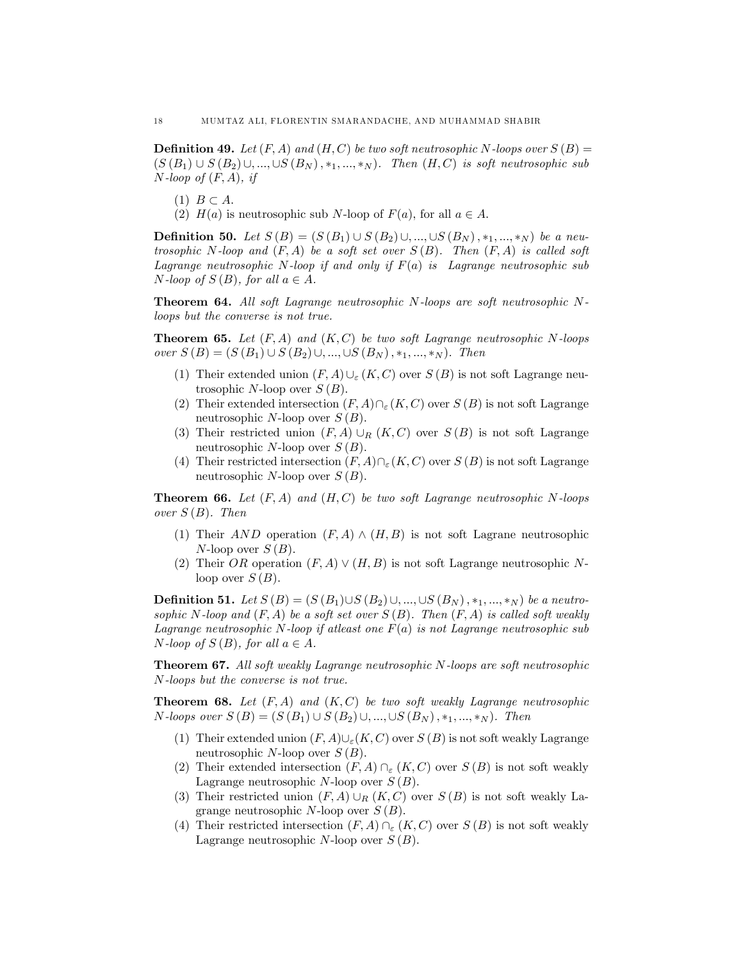**Definition 49.** Let  $(F, A)$  and  $(H, C)$  be two soft neutrosophic N-loops over  $S(B)$  =  $(S (B_1) \cup S (B_2) \cup, ..., \cup S (B_N), *_{1}, ..., *_{N}).$  Then  $(H, C)$  is soft neutrosophic sub  $N$ -loop of  $(F, A)$ , if

- $(1)$   $B \subset A$ .
- (2)  $H(a)$  is neutrosophic sub N-loop of  $F(a)$ , for all  $a \in A$ .

**Definition 50.** Let  $S(B) = (S(B_1) \cup S(B_2) \cup, ..., \cup S(B_N), *_1, ..., *_N)$  be a neutrosophic N-loop and  $(F, A)$  be a soft set over  $S(B)$ . Then  $(F, A)$  is called soft Lagrange neutrosophic N-loop if and only if  $F(a)$  is Lagrange neutrosophic sub N-loop of  $S(B)$ , for all  $a \in A$ .

**Theorem 64.** All soft Lagrange neutrosophic N-loops are soft neutrosophic Nloops but the converse is not true.

**Theorem 65.** Let  $(F, A)$  and  $(K, C)$  be two soft Lagrange neutrosophic N-loops over  $S(B) = (S(B_1) \cup S(B_2) \cup, ..., \cup S(B_N), *_1, ..., *_N).$  Then

- (1) Their extended union  $(F, A) \cup_{\varepsilon} (K, C)$  over  $S (B)$  is not soft Lagrange neutrosophic N-loop over  $S(B)$ .
- (2) Their extended intersection  $(F, A)\cap_{\varepsilon}(K, C)$  over  $S(B)$  is not soft Lagrange neutrosophic N-loop over  $S(B)$ .
- (3) Their restricted union  $(F, A) \cup_R (K, C)$  over  $S (B)$  is not soft Lagrange neutrosophic N-loop over  $S(B)$ .
- (4) Their restricted intersection  $(F, A) \cap_{\varepsilon} (K, C)$  over  $S (B)$  is not soft Lagrange neutrosophic  $N$ -loop over  $S(B)$ .

**Theorem 66.** Let  $(F, A)$  and  $(H, C)$  be two soft Lagrange neutrosophic N-loops over  $S(B)$ . Then

- (1) Their AND operation  $(F, A) \wedge (H, B)$  is not soft Lagrane neutrosophic  $N$ -loop over  $S(B)$ .
- (2) Their OR operation  $(F, A) \vee (H, B)$  is not soft Lagrange neutrosophic Nloop over  $S(B)$ .

**Definition 51.** Let  $S(B) = (S(B_1) \cup S(B_2) \cup, ..., \cup S(B_N), *_1, ..., *_N)$  be a neutrosophic N-loop and  $(F, A)$  be a soft set over  $S(B)$ . Then  $(F, A)$  is called soft weakly Lagrange neutrosophic N-loop if at least one  $F(a)$  is not Lagrange neutrosophic sub N-loop of  $S(B)$ , for all  $a \in A$ .

Theorem 67. All soft weakly Lagrange neutrosophic N-loops are soft neutrosophic N-loops but the converse is not true.

**Theorem 68.** Let  $(F, A)$  and  $(K, C)$  be two soft weakly Lagrange neutrosophic  $N\text{-}loops over S (B) = (S (B_1) \cup S (B_2) \cup, ..., \cup S (B_N), *_{1}, ..., *_{N}).$  Then

- (1) Their extended union  $(F, A) \cup_{\varepsilon} (K, C)$  over  $S (B)$  is not soft weakly Lagrange neutrosophic N-loop over  $S(B)$ .
- (2) Their extended intersection  $(F, A) \cap_{\varepsilon} (K, C)$  over  $S (B)$  is not soft weakly Lagrange neutrosophic N-loop over  $S(B)$ .
- (3) Their restricted union  $(F, A) \cup_R (K, C)$  over  $S (B)$  is not soft weakly Lagrange neutrosophic N-loop over  $S(B)$ .
- (4) Their restricted intersection  $(F, A) \cap_{\varepsilon} (K, C)$  over  $S (B)$  is not soft weakly Lagrange neutrosophic N-loop over  $S(B)$ .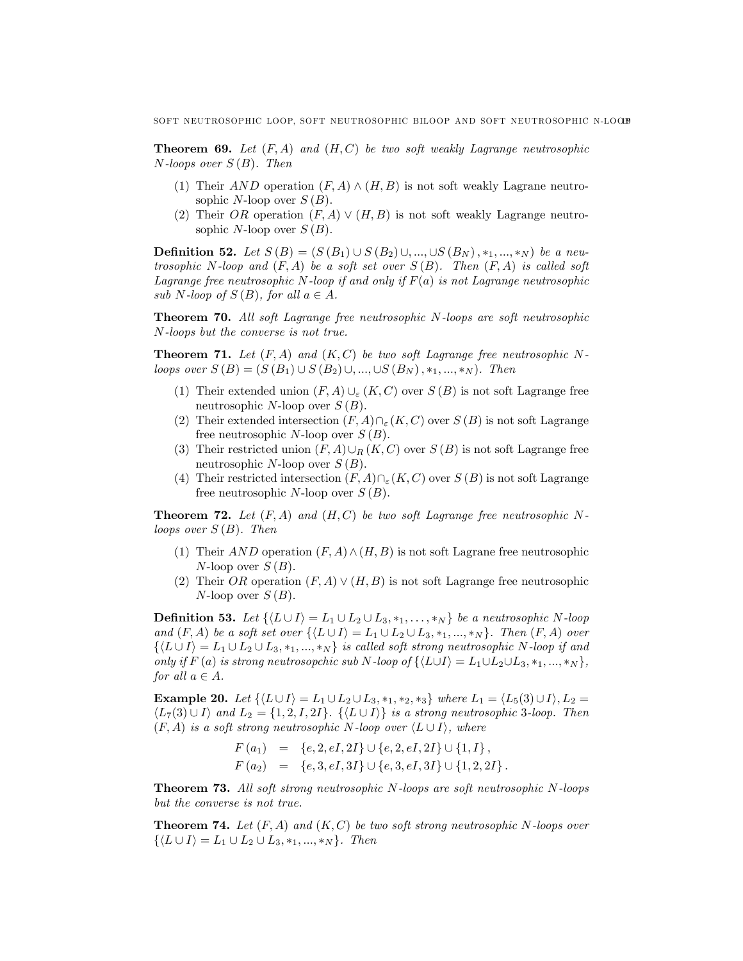**Theorem 69.** Let  $(F, A)$  and  $(H, C)$  be two soft weakly Lagrange neutrosophic  $N$ -loops over  $S(B)$ . Then

- (1) Their AND operation  $(F, A) \wedge (H, B)$  is not soft weakly Lagrane neutrosophic N-loop over  $S(B)$ .
- (2) Their OR operation  $(F, A) \vee (H, B)$  is not soft weakly Lagrange neutrosophic N-loop over  $S(B)$ .

**Definition 52.** Let  $S(B) = (S(B_1) \cup S(B_2) \cup, ..., \cup S(B_N), *_1, ..., *_N)$  be a neutrosophic N-loop and  $(F, A)$  be a soft set over  $S(B)$ . Then  $(F, A)$  is called soft Lagrange free neutrosophic N-loop if and only if  $F(a)$  is not Lagrange neutrosophic sub N-loop of  $S(B)$ , for all  $a \in A$ .

Theorem 70. All soft Lagrange free neutrosophic N-loops are soft neutrosophic N-loops but the converse is not true.

**Theorem 71.** Let  $(F, A)$  and  $(K, C)$  be two soft Lagrange free neutrosophic Nloops over  $S(B) = (S(B_1) \cup S(B_2) \cup, ..., \cup S(B_N), *_1, ..., *_N).$  Then

- (1) Their extended union  $(F, A) \cup_{\varepsilon} (K, C)$  over  $S (B)$  is not soft Lagrange free neutrosophic N-loop over  $S(B)$ .
- (2) Their extended intersection  $(F, A)\cap_{\varepsilon}(K, C)$  over  $S(B)$  is not soft Lagrange free neutrosophic N-loop over  $S(B)$ .
- (3) Their restricted union  $(F, A) \cup_R (K, C)$  over  $S (B)$  is not soft Lagrange free neutrosophic N-loop over  $S(B)$ .
- (4) Their restricted intersection  $(F, A) \cap_{\varepsilon} (K, C)$  over  $S (B)$  is not soft Lagrange free neutrosophic N-loop over  $S(B)$ .

**Theorem 72.** Let  $(F, A)$  and  $(H, C)$  be two soft Lagrange free neutrosophic Nloops over  $S(B)$ . Then

- (1) Their AND operation  $(F, A) \wedge (H, B)$  is not soft Lagrane free neutrosophic  $N$ -loop over  $S(B)$ .
- (2) Their OR operation  $(F, A) \vee (H, B)$  is not soft Lagrange free neutrosophic  $N$ -loop over  $S(B)$ .

**Definition 53.** Let  $\{ \langle L \cup I \rangle = L_1 \cup L_2 \cup L_3, *_1, \ldots, *_N \}$  be a neutrosophic N-loop and  $(F, A)$  be a soft set over  $\{ \langle L \cup I \rangle = L_1 \cup L_2 \cup L_3, *_1, ..., *_N \}.$  Then  $(F, A)$  over  $\{\langle L \cup I \rangle = L_1 \cup L_2 \cup L_3, *_1, ..., *_N\}$  is called soft strong neutrosophic N-loop if and only if F (a) is strong neutrosopchic sub N-loop of  $\{ \langle L \cup I \rangle = L_1 \cup L_2 \cup L_3, *_1, ..., *_N \},\$ for all  $a \in A$ .

**Example 20.** Let  $\{ \langle L \cup I \rangle = L_1 \cup L_2 \cup L_3, *_1, *_2, *_3 \}$  where  $L_1 = \langle L_5(3) \cup I \rangle, L_2 =$  $\langle L_7(3) \cup I \rangle$  and  $L_2 = \{1, 2, I, 2I\}$ .  $\{\langle L \cup I \rangle\}$  is a strong neutrosophic 3-loop. Then  $(F, A)$  is a soft strong neutrosophic N-loop over  $\langle L \cup I \rangle$ , where

$$
F(a_1) = \{e, 2, eI, 2I\} \cup \{e, 2, eI, 2I\} \cup \{1, I\},
$$
  

$$
F(a_2) = \{e, 3, eI, 3I\} \cup \{e, 3, eI, 3I\} \cup \{1, 2, 2I\}.
$$

Theorem 73. All soft strong neutrosophic N-loops are soft neutrosophic N-loops but the converse is not true.

**Theorem 74.** Let  $(F, A)$  and  $(K, C)$  be two soft strong neutrosophic N-loops over  $\{\langle L \cup I \rangle = L_1 \cup L_2 \cup L_3, *_1, ..., *_N\}.$  Then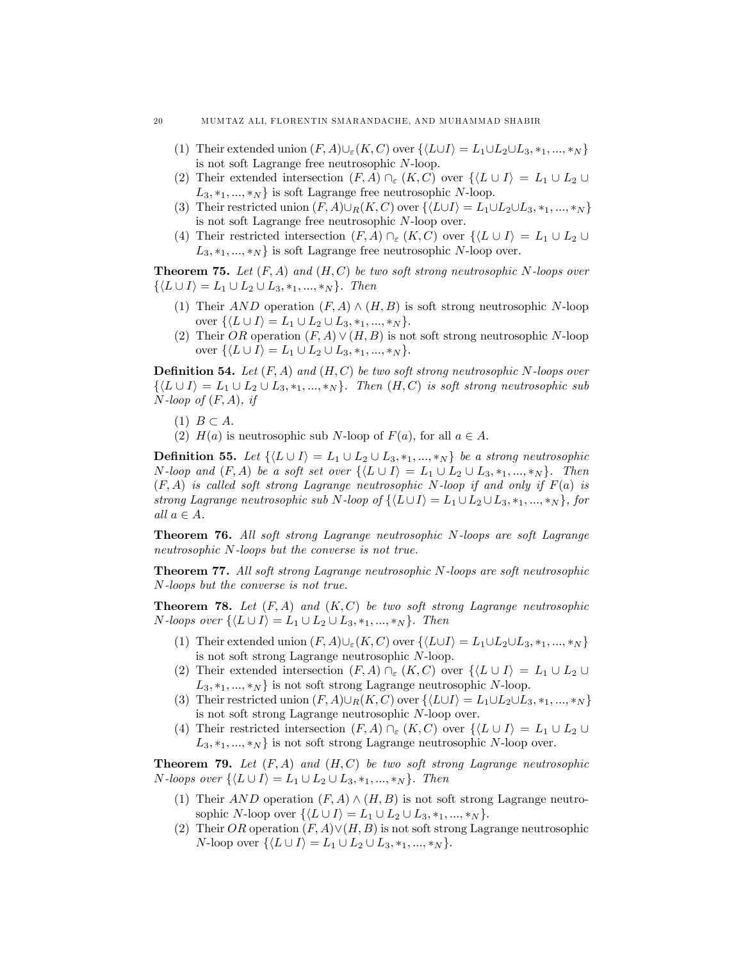- (1) Their extended union  $(F, A) \cup_{\varepsilon} (K, C)$  over  $\{ \langle L \cup I \rangle = L_1 \cup L_2 \cup L_3, *_1, ..., *_N \}$ is not soft Lagrange free neutrosophic N-loop.
- (2) Their extended intersection  $(F, A) \cap_{\varepsilon} (K, C)$  over  $\{L \cup I\} = L_1 \cup L_2 \cup$  $L_3, *_1, ..., *_N$  is soft Lagrange free neutrosophic N-loop.
- (3) Their restricted union  $(F, A) \cup_R (K, C)$  over  $\{ \langle L \cup I \rangle = L_1 \cup L_2 \cup L_3, *_1, ..., *_N \}$ is not soft Lagrange free neutrosophic N-loop over.
- (4) Their restricted intersection  $(F, A) \cap_{\varepsilon} (K, C)$  over  $\{ \langle L \cup I \rangle = L_1 \cup L_2 \cup$  $L_3, *_1, ..., *_N$  is soft Lagrange free neutrosophic N-loop over.

**Theorem 75.** Let  $(F, A)$  and  $(H, C)$  be two soft strong neutrosophic N-loops over  $\{\langle L \cup I \rangle = L_1 \cup L_2 \cup L_3, *_1, ..., *_N\}.$  Then

- (1) Their AND operation  $(F, A) \wedge (H, B)$  is soft strong neutrosophic N-loop over  $\{ \langle L \cup I \rangle = L_1 \cup L_2 \cup L_3, *_1, ..., *_N \}.$
- (2) Their OR operation  $(F, A) \vee (H, B)$  is not soft strong neutrosophic N-loop over  $\{ \langle L \cup I \rangle = L_1 \cup L_2 \cup L_3, *_1, ..., *_N \}.$

**Definition 54.** Let  $(F, A)$  and  $(H, C)$  be two soft strong neutrosophic N-loops over  $\{\langle L \cup I \rangle = L_1 \cup L_2 \cup L_3, *_1, ..., *_N\}.$  Then  $(H, C)$  is soft strong neutrosophic sub  $N$ -loop of  $(F, A)$ , if

- (1)  $B \subset A$ .
- (2)  $H(a)$  is neutrosophic sub N-loop of  $F(a)$ , for all  $a \in A$ .

**Definition 55.** Let  $\{ \langle L \cup I \rangle = L_1 \cup L_2 \cup L_3, *_1, ..., *_N \}$  be a strong neutrosophic N-loop and  $(F, A)$  be a soft set over  $\{ \langle L \cup I \rangle = L_1 \cup L_2 \cup L_3, *_1, ..., *_N \}.$  Then  $(F, A)$  is called soft strong Lagrange neutrosophic N-loop if and only if  $F(a)$  is strong Lagrange neutrosophic sub N-loop of  $\{ \langle L \cup I \rangle = L_1 \cup L_2 \cup L_3, *,_1, ..., *_{N} \},$  for all  $a \in A$ .

Theorem 76. All soft strong Lagrange neutrosophic N-loops are soft Lagrange neutrosophic N-loops but the converse is not true.

Theorem 77. All soft strong Lagrange neutrosophic N-loops are soft neutrosophic N-loops but the converse is not true.

**Theorem 78.** Let  $(F, A)$  and  $(K, C)$  be two soft strong Lagrange neutrosophic *N*-loops over  $\{ \langle L \cup I \rangle = L_1 \cup L_2 \cup L_3, *_1, ..., *_N \}.$  Then

- (1) Their extended union  $(F, A) \cup_{\varepsilon} (K, C)$  over  $\{ \langle L \cup I \rangle = L_1 \cup L_2 \cup L_3, *_1, ..., *_N \}$ is not soft strong Lagrange neutrosophic N-loop.
- (2) Their extended intersection  $(F, A) \cap_{\varepsilon} (K, C)$  over  $\{L \cup I\} = L_1 \cup L_2 \cup$  $L_3, *_1, ..., *_{N}$  is not soft strong Lagrange neutrosophic N-loop.
- (3) Their restricted union  $(F, A) \cup_R (K, C)$  over  $\{ \langle L \cup I \rangle = L_1 \cup L_2 \cup L_3, \ast_1, ..., \ast_N \}$ is not soft strong Lagrange neutrosophic N-loop over.
- (4) Their restricted intersection  $(F, A) \cap_{\varepsilon} (K, C)$  over  $\{ \langle L \cup I \rangle = L_1 \cup L_2 \cup$  $L_3, *_1, ..., *_N$  is not soft strong Lagrange neutrosophic N-loop over.

**Theorem 79.** Let  $(F, A)$  and  $(H, C)$  be two soft strong Lagrange neutrosophic *N*-loops over  $\{ \langle L \cup I \rangle = L_1 \cup L_2 \cup L_3, *_1, ..., *_N \}.$  Then

- (1) Their AND operation  $(F, A) \wedge (H, B)$  is not soft strong Lagrange neutrosophic N-loop over  $\{ \langle L \cup I \rangle = L_1 \cup L_2 \cup L_3, *_1, ..., *_N \}.$
- (2) Their OR operation  $(F, A) \vee (H, B)$  is not soft strong Lagrange neutrosophic N-loop over  $\{ \langle L \cup I \rangle = L_1 \cup L_2 \cup L_3, *_1, ..., *_N \}.$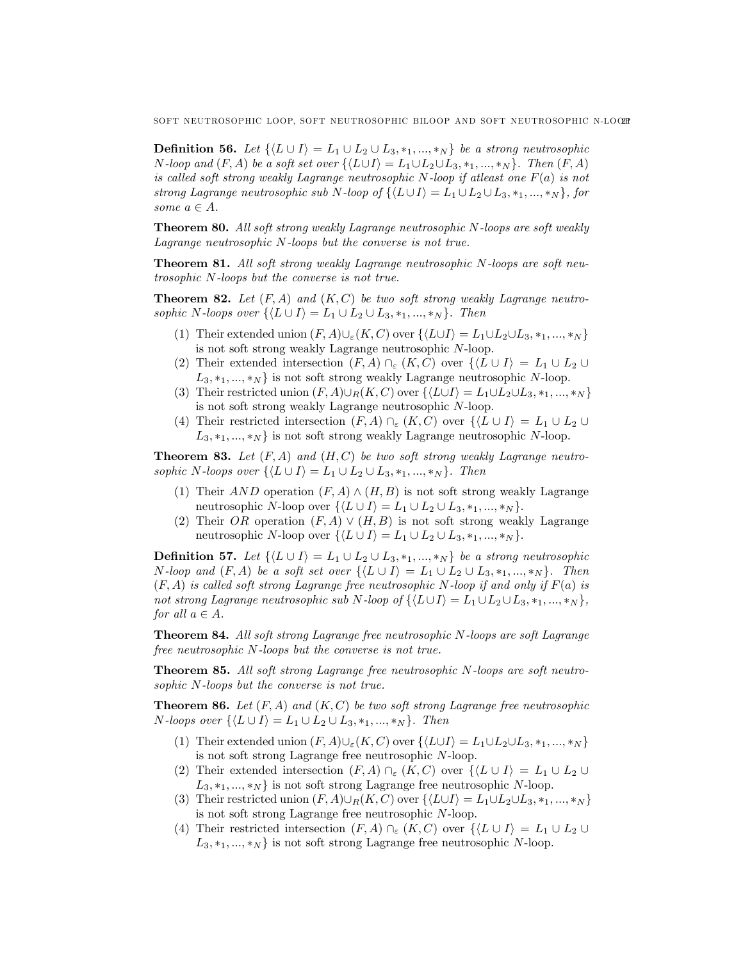**Definition 56.** Let  $\{ \langle L \cup I \rangle = L_1 \cup L_2 \cup L_3, *_1, ..., *_N \}$  be a strong neutrosophic N-loop and  $(F, A)$  be a soft set over  $\{\langle L \cup I \rangle = L_1 \cup L_2 \cup L_3, *,_1, ..., *_{N} \}$ . Then  $(F, A)$ is called soft strong weakly Lagrange neutrosophic N-loop if at east one  $F(a)$  is not strong Lagrange neutrosophic sub N-loop of  $\{L\cup I\} = L_1 \cup L_2 \cup L_3, *_1, ..., *_N\}$ , for some  $a \in A$ .

Theorem 80. All soft strong weakly Lagrange neutrosophic N-loops are soft weakly Lagrange neutrosophic N-loops but the converse is not true.

Theorem 81. All soft strong weakly Lagrange neutrosophic N-loops are soft neutrosophic N-loops but the converse is not true.

**Theorem 82.** Let  $(F, A)$  and  $(K, C)$  be two soft strong weakly Lagrange neutrosophic N-loops over  $\{L \cup I\} = L_1 \cup L_2 \cup L_3, *_1, ..., *_N\}$ . Then

- (1) Their extended union  $(F, A) \cup_{\varepsilon} (K, C)$  over  $\{ \langle L \cup I \rangle = L_1 \cup L_2 \cup L_3, *_1, ..., *_N \}$ is not soft strong weakly Lagrange neutrosophic N-loop.
- (2) Their extended intersection  $(F, A) \cap_{\varepsilon} (K, C)$  over  $\{ \langle L \cup I \rangle = L_1 \cup L_2 \cup$  $L_3, *_1, ..., *_N$  is not soft strong weakly Lagrange neutrosophic N-loop.
- (3) Their restricted union  $(F, A) \cup_R (K, C)$  over  $\{ \langle L \cup I \rangle = L_1 \cup L_2 \cup L_3, *_1, ..., *_N \}$ is not soft strong weakly Lagrange neutrosophic N-loop.
- (4) Their restricted intersection  $(F, A) \cap_{\varepsilon} (K, C)$  over  $\{ \langle L \cup I \rangle = L_1 \cup L_2 \cup$  $L_3, *_1, ..., *_N$  is not soft strong weakly Lagrange neutrosophic N-loop.

**Theorem 83.** Let  $(F, A)$  and  $(H, C)$  be two soft strong weakly Lagrange neutrosophic N-loops over  $\{\langle L \cup I \rangle = L_1 \cup L_2 \cup L_3, *_1, ..., *_N \}$ . Then

- (1) Their AND operation  $(F, A) \wedge (H, B)$  is not soft strong weakly Lagrange neutrosophic N-loop over  $\{ \langle L \cup I \rangle = L_1 \cup L_2 \cup L_3, *_1, ..., *_N \}.$
- (2) Their OR operation  $(F, A) \vee (H, B)$  is not soft strong weakly Lagrange neutrosophic N-loop over  $\{ \langle L \cup I \rangle = L_1 \cup L_2 \cup L_3, *_1, ..., *_N \}.$

**Definition 57.** Let  $\{ \langle L \cup I \rangle = L_1 \cup L_2 \cup L_3, *_1, ..., *_N \}$  be a strong neutrosophic N-loop and  $(F, A)$  be a soft set over  $\{L \cup I\} = L_1 \cup L_2 \cup L_3, *_1, ..., *_N\}$ . Then  $(F, A)$  is called soft strong Lagrange free neutrosophic N-loop if and only if  $F(a)$  is not strong Lagrange neutrosophic sub N-loop of  $\{ \langle L \cup I \rangle = L_1 \cup L_2 \cup L_3, *_1, ..., *_N \},\$ for all  $a \in A$ .

Theorem 84. All soft strong Lagrange free neutrosophic N-loops are soft Lagrange free neutrosophic N-loops but the converse is not true.

Theorem 85. All soft strong Lagrange free neutrosophic N-loops are soft neutrosophic N-loops but the converse is not true.

**Theorem 86.** Let  $(F, A)$  and  $(K, C)$  be two soft strong Lagrange free neutrosophic N-loops over  $\{\langle L \cup I \rangle = L_1 \cup L_2 \cup L_3, *_1, ..., *_N \}.$  Then

- (1) Their extended union  $(F, A) \cup_{\varepsilon} (K, C)$  over  $\{ \langle L \cup I \rangle = L_1 \cup L_2 \cup L_3, *_1, ..., *_N \}$ is not soft strong Lagrange free neutrosophic N-loop.
- (2) Their extended intersection  $(F, A) \cap_{\varepsilon} (K, C)$  over  $\{L \cup I\} = L_1 \cup L_2 \cup$  $L_3, *_1, ..., *_N$  is not soft strong Lagrange free neutrosophic N-loop.
- (3) Their restricted union  $(F, A) \cup_R (K, C)$  over  $\{ \langle L \cup I \rangle = L_1 \cup L_2 \cup L_3, *_1, ..., *_N \}$ is not soft strong Lagrange free neutrosophic N-loop.
- (4) Their restricted intersection  $(F, A) \cap_{\varepsilon} (K, C)$  over  $\{ \langle L \cup I \rangle = L_1 \cup L_2 \cup$  $L_3, *_1, ..., *_N$  is not soft strong Lagrange free neutrosophic N-loop.